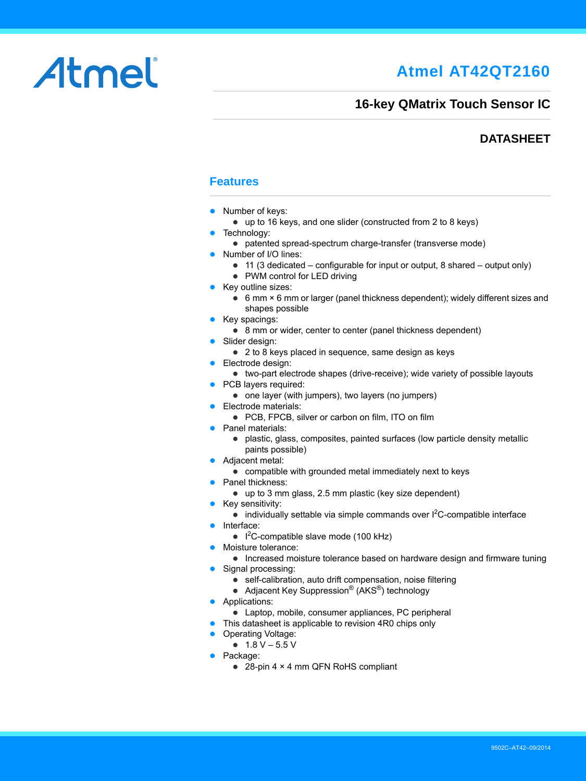## **Atmel AT42QT2160**

# Atmel

## **16-key QMatrix Touch Sensor IC**

## **DATASHEET**

## **Features**

- Number of keys:
- up to 16 keys, and one slider (constructed from 2 to 8 keys)
- Technology:
	- patented spread-spectrum charge-transfer (transverse mode)
- Number of I/O lines:
	- $\bullet$  11 (3 dedicated configurable for input or output, 8 shared output only)
	- PWM control for LED driving
- Key outline sizes:
	- 6 mm × 6 mm or larger (panel thickness dependent); widely different sizes and shapes possible
- Key spacings:
	- 8 mm or wider, center to center (panel thickness dependent)
- **•** Slider design:
	- 2 to 8 keys placed in sequence, same design as keys
- **•** Electrode design:
- two-part electrode shapes (drive-receive); wide variety of possible layouts
- PCB layers required:
	- $\bullet$  one layer (with jumpers), two layers (no jumpers)
- **Electrode materials:** 
	- PCB, FPCB, silver or carbon on film, ITO on film
- Panel materials:
	- plastic, glass, composites, painted surfaces (low particle density metallic paints possible)
- **Adjacent metal:**
- compatible with grounded metal immediately next to keys
- Panel thickness:
	- up to 3 mm glass, 2.5 mm plastic (key size dependent)
- Key sensitivity:
	- $\bullet$  individually settable via simple commands over  $l^2C$ -compatible interface
- **Interface:** 
	- $\bullet$  I<sup>2</sup>C-compatible slave mode (100 kHz)
- Moisture tolerance:
- Increased moisture tolerance based on hardware design and firmware tuning
- Signal processing:
	- self-calibration, auto drift compensation, noise filtering
	- Adjacent Key Suppression<sup>®</sup> (AKS<sup>®</sup>) technology
- **Applications:** 
	- Laptop, mobile, consumer appliances, PC peripheral
- This datasheet is applicable to revision 4R0 chips only
- Operating Voltage:
	- $\bullet$  1.8 V 5.5 V
- Package:
	- 28-pin 4 × 4 mm QFN RoHS compliant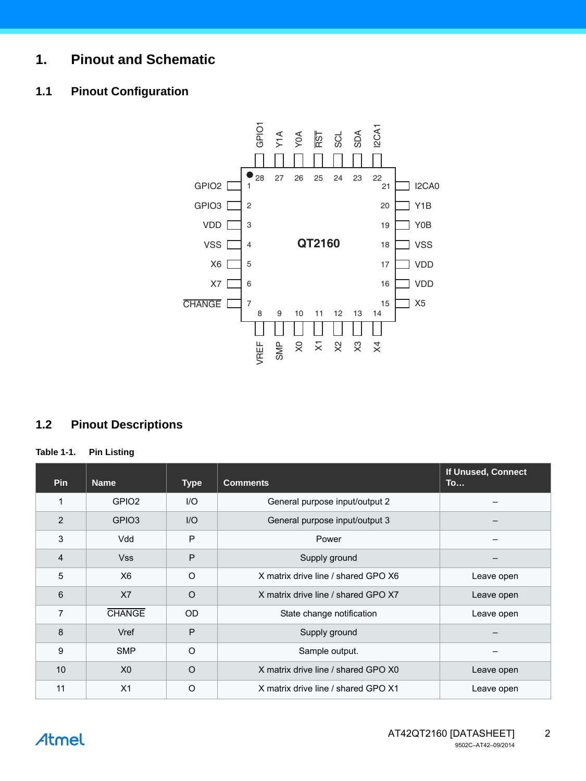## **1. Pinout and Schematic**

## **1.1 Pinout Configuration**



## **1.2 Pinout Descriptions**

#### **Table 1-1. Pin Listing**

| Pin            | <b>Name</b>       | <b>Type</b>  | <b>Comments</b>                     | If Unused, Connect<br>To |
|----------------|-------------------|--------------|-------------------------------------|--------------------------|
| 1              | GPIO <sub>2</sub> | $II$         | General purpose input/output 2      |                          |
| $\overline{2}$ | GPIO <sub>3</sub> | $II$         | General purpose input/output 3      |                          |
| 3              | Vdd               | $\mathsf{P}$ | Power                               |                          |
| 4              | <b>Vss</b>        | P            | Supply ground                       |                          |
| 5              | X <sub>6</sub>    | $\Omega$     | X matrix drive line / shared GPO X6 | Leave open               |
| 6              | X7                | $\Omega$     | X matrix drive line / shared GPO X7 | Leave open               |
| 7              | <b>CHANGE</b>     | <b>OD</b>    | State change notification           | Leave open               |
| 8              | Vref              | P            | Supply ground                       |                          |
| 9              | <b>SMP</b>        | $\circ$      | Sample output.                      |                          |
| 10             | X <sub>0</sub>    | $\Omega$     | X matrix drive line / shared GPO X0 | Leave open               |
| 11             | X1                | $\circ$      | X matrix drive line / shared GPO X1 | Leave open               |

**Atmel**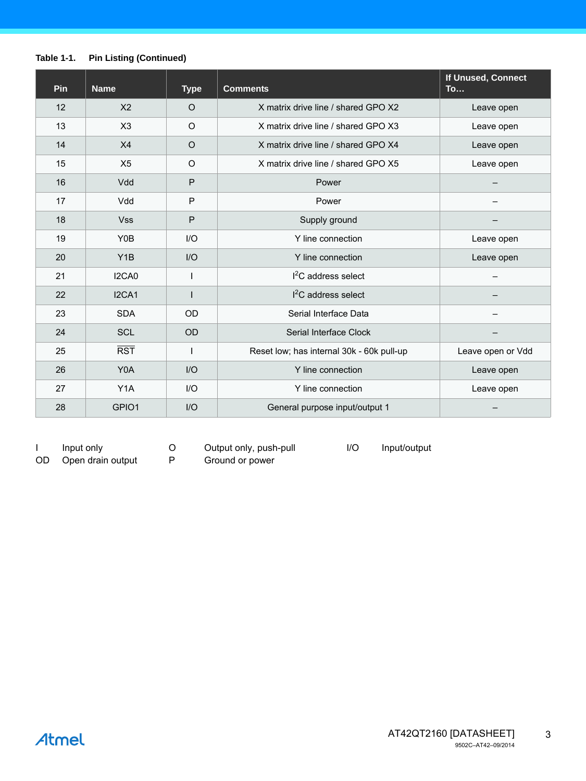#### **Table 1-1. Pin Listing (Continued)**

| Pin | <b>Name</b>      | <b>Type</b>  | <b>Comments</b>                           | If Unused, Connect<br><b>To</b> |
|-----|------------------|--------------|-------------------------------------------|---------------------------------|
| 12  | X <sub>2</sub>   | $\circ$      | X matrix drive line / shared GPO X2       | Leave open                      |
| 13  | X3               | $\circ$      | X matrix drive line / shared GPO X3       | Leave open                      |
| 14  | X4               | $\circ$      | X matrix drive line / shared GPO X4       | Leave open                      |
| 15  | X <sub>5</sub>   | $\circ$      | X matrix drive line / shared GPO X5       | Leave open                      |
| 16  | Vdd              | $\mathsf{P}$ | Power                                     |                                 |
| 17  | Vdd              | P            | Power                                     |                                 |
| 18  | <b>Vss</b>       | P            | Supply ground                             |                                 |
| 19  | Y0B              | I/O          | Y line connection                         | Leave open                      |
| 20  | Y <sub>1</sub> B | I/O          | Y line connection                         | Leave open                      |
| 21  | I2CA0            | I            | $I2C$ address select                      |                                 |
| 22  | I2CA1            | I            | $I2C$ address select                      |                                 |
| 23  | <b>SDA</b>       | <b>OD</b>    | Serial Interface Data                     |                                 |
| 24  | <b>SCL</b>       | <b>OD</b>    | Serial Interface Clock                    |                                 |
| 25  | RST              |              | Reset low; has internal 30k - 60k pull-up | Leave open or Vdd               |
| 26  | Y0A              | I/O          | Y line connection                         | Leave open                      |
| 27  | Y <sub>1</sub> A | I/O          | Y line connection                         | Leave open                      |
| 28  | GPIO1            | I/O          | General purpose input/output 1            |                                 |

I Input only O Output only, push-pull I/O Input/output

OD Open drain output P Ground or power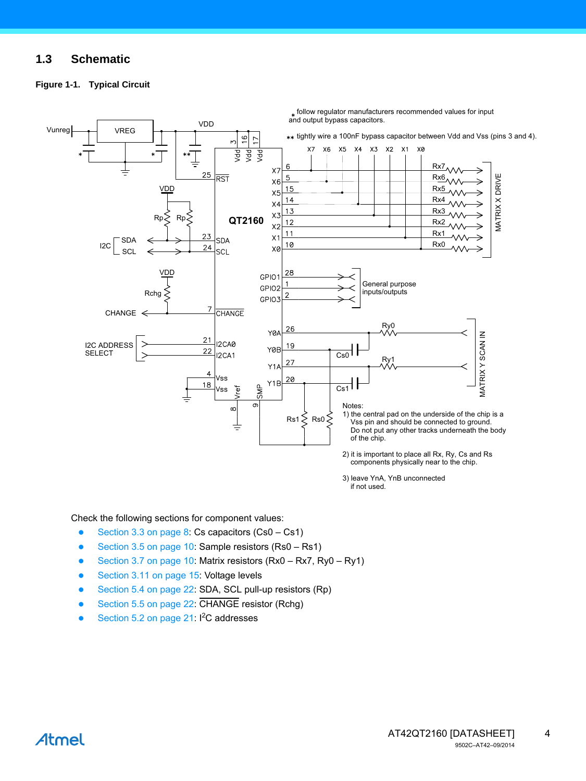## **1.3 Schematic**

#### **Figure 1-1. Typical Circuit**



Check the following sections for component values:

- [Section 3.3 on page 8](#page-7-0): Cs capacitors (Cs0 Cs1)
- [Section 3.5 on page 10:](#page-9-0) Sample resistors (Rs0 Rs1)
- [Section 3.7 on page 10:](#page-9-1) Matrix resistors (Rx0 Rx7, Ry0 Ry1)
- [Section 3.11 on page 15:](#page-14-0) Voltage levels
- [Section 5.4 on page 22:](#page-21-0) SDA, SCL pull-up resistors (Rp)
- [Section 5.5 on page 22:](#page-21-1) CHANGE resistor (Rchg)
- [Section 5.2 on page 21:](#page-20-0)  $I^2C$  addresses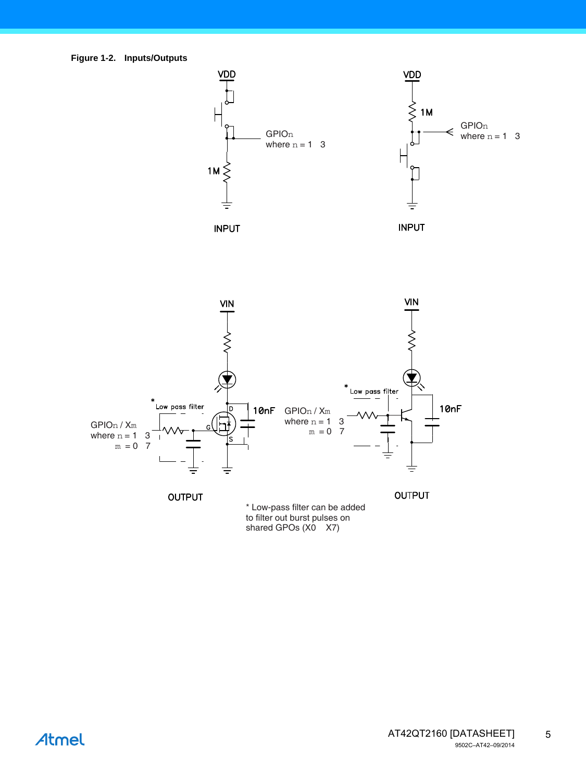<span id="page-4-0"></span>

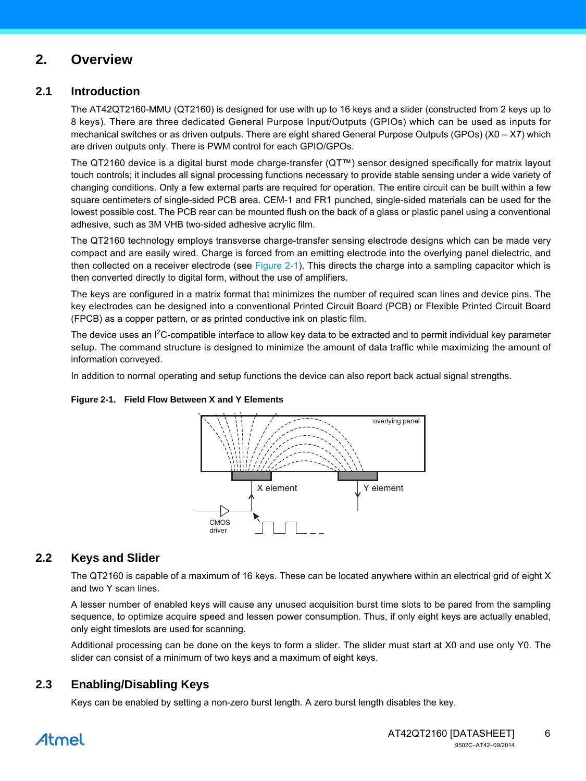## **2. Overview**

## **2.1 Introduction**

The AT42QT2160-MMU (QT2160) is designed for use with up to 16 keys and a slider (constructed from 2 keys up to 8 keys). There are three dedicated General Purpose Input/Outputs (GPIOs) which can be used as inputs for mechanical switches or as driven outputs. There are eight shared General Purpose Outputs (GPOs) (X0 – X7) which are driven outputs only. There is PWM control for each GPIO/GPOs.

[The QT2160 device is a digital burst mode charge-transfer \(QT™\) sensor designed specifically for matrix layout](http://www.qprox.com) touch controls; it includes all signal processing functions necessary to provide stable sensing under a wide variety of changing conditions. Only a few external parts are required for operation. The entire circuit can be built within a few square centimeters of single-sided PCB area. CEM-1 and FR1 punched, single-sided materials can be used for the lowest possible cost. The PCB rear can be mounted flush on the back of a glass or plastic panel using a conventional adhesive, such as 3M VHB two-sided adhesive acrylic film.

The QT2160 technology employs transverse charge-transfer sensing electrode designs which can be made very compact and are easily wired. Charge is forced from an emitting electrode into the overlying panel dielectric, and then collected on a receiver electrode (see Figure  $2-1$ ). This directs the charge into a sampling capacitor which is then converted directly to digital form, without the use of amplifiers.

The keys are configured in a matrix format that minimizes the number of required scan lines and device pins. The key electrodes can be designed into a conventional Printed Circuit Board (PCB) or Flexible Printed Circuit Board (FPCB) as a copper pattern, or as printed conductive ink on plastic film.

The device uses an I<sup>2</sup>C-compatible interface to allow key data to be extracted and to permit individual key parameter setup. The command structure is designed to minimize the amount of data traffic while maximizing the amount of information conveyed.

In addition to normal operating and setup functions the device can also report back actual signal strengths.



## <span id="page-5-0"></span>**Figure 2-1. Field Flow Between X and Y Elements**

## **2.2 Keys and Slider**

The QT2160 is capable of a maximum of 16 keys. These can be located anywhere within an electrical grid of eight X and two Y scan lines.

A lesser number of enabled keys will cause any unused acquisition burst time slots to be pared from the sampling sequence, to optimize acquire speed and lessen power consumption. Thus, if only eight keys are actually enabled, only eight timeslots are used for scanning.

Additional processing can be done on the keys to form a slider. The slider must start at X0 and use only Y0. The slider can consist of a minimum of two keys and a maximum of eight keys.

## **2.3 Enabling/Disabling Keys**

Keys can be enabled by setting a non-zero burst length. A zero burst length disables the key.

## Atmel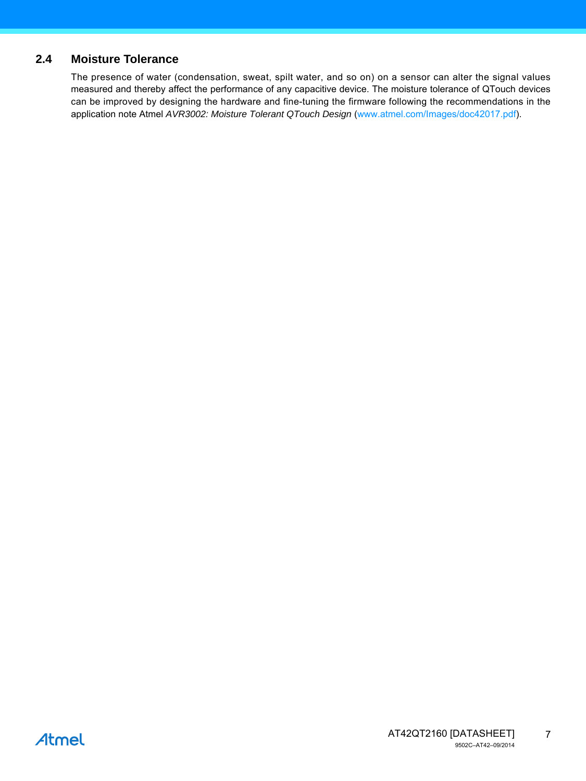## **2.4 Moisture Tolerance**

The presence of water (condensation, sweat, spilt water, and so on) on a sensor can alter the signal values measured and thereby affect the performance of any capacitive device. The moisture tolerance of QTouch devices can be improved by designing the hardware and fine-tuning the firmware following the recommendations in the application note Atmel *AVR3002: Moisture Tolerant QTouch Design* [\(](http//www.atmel.com/Images/doc42017.pdf)www.atmel.com/Images/doc42017.pdf).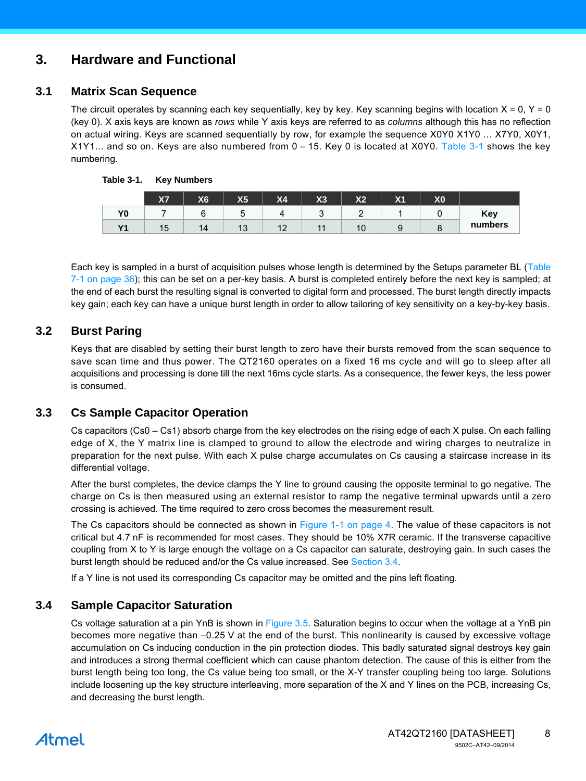## **3. Hardware and Functional**

## **3.1 Matrix Scan Sequence**

The circuit operates by scanning each key sequentially, key by key. Key scanning begins with location  $X = 0$ ,  $Y = 0$ (key 0). X axis keys are known as *rows* while Y axis keys are referred to as *columns* although this has no reflection on actual wiring. Keys are scanned sequentially by row, for example the sequence X0Y0 X1Y0 … X7Y0, X0Y1, X1Y1... and so on. Keys are also numbered from 0 – 15. Key 0 is located at X0Y0. [Table 3-1](#page-7-1) shows the key numbering.

|                      | X7 | X <sub>6</sub> | <b>X5</b> | X <sub>4</sub> | X3             | X <sub>2</sub> | X <sub>1</sub>                | $\mathbf{v}$<br>ハザ |         |
|----------------------|----|----------------|-----------|----------------|----------------|----------------|-------------------------------|--------------------|---------|
| Y <sub>0</sub>       |    |                |           |                | ◡              | ◠<br>-         |                               |                    | Key     |
| <b>V<sub>4</sub></b> | 15 | 14             | 13        | $\sim$<br>$-$  | $\overline{A}$ | $\sim$ $\sim$  | u<br>$\overline{\phantom{a}}$ | ◡                  | numbers |

<span id="page-7-1"></span>

Each key is sampled in a burst of acquisition pulses whose length is determined by the Setups parameter BL ([Table](#page-35-0)  $7-1$  on page  $36$ ); this can be set on a per-key basis. A burst is completed entirely before the next key is sampled; at the end of each burst the resulting signal is converted to digital form and processed. The burst length directly impacts key gain; each key can have a unique burst length in order to allow tailoring of key sensitivity on a key-by-key basis.

## **3.2 Burst Paring**

Keys that are disabled by setting their burst length to zero have their bursts removed from the scan sequence to save scan time and thus power. The QT2160 operates on a fixed 16 ms cycle and will go to sleep after all acquisitions and processing is done till the next 16ms cycle starts. As a consequence, the fewer keys, the less power is consumed.

## <span id="page-7-0"></span>**3.3 Cs Sample Capacitor Operation**

Cs capacitors (Cs0 – Cs1) absorb charge from the key electrodes on the rising edge of each X pulse. On each falling edge of X, the Y matrix line is clamped to ground to allow the electrode and wiring charges to neutralize in preparation for the next pulse. With each X pulse charge accumulates on Cs causing a staircase increase in its differential voltage.

After the burst completes, the device clamps the Y line to ground causing the opposite terminal to go negative. The charge on Cs is then measured using an external resistor to ramp the negative terminal upwards until a zero crossing is achieved. The time required to zero cross becomes the measurement result.

The Cs capacitors should be connected as shown in Figure 1-1 on page 4. The value of these capacitors is not critical but 4.7 nF is recommended for most cases. They should be 10% X7R ceramic. If the transverse capacitive coupling from X to Y is large enough the voltage on a Cs capacitor can saturate, destroying gain. In such cases the burst length should be reduced and/or the Cs value increased. See [Section 3.4](#page-7-2).

If a Y line is not used its corresponding Cs capacitor may be omitted and the pins left floating.

## <span id="page-7-2"></span>**3.4 Sample Capacitor Saturation**

Cs voltage saturation at a pin YnB is shown in [Figure 3.5](#page-9-0). Saturation begins to occur when the voltage at a YnB pin becomes more negative than –0.25 V at the end of the burst. This nonlinearity is caused by excessive voltage accumulation on Cs inducing conduction in the pin protection diodes. This badly saturated signal destroys key gain and introduces a strong thermal coefficient which can cause phantom detection. The cause of this is either from the burst length being too long, the Cs value being too small, or the X-Y transfer coupling being too large. Solutions include loosening up the key structure interleaving, more separation of the X and Y lines on the PCB, increasing Cs, and decreasing the burst length.

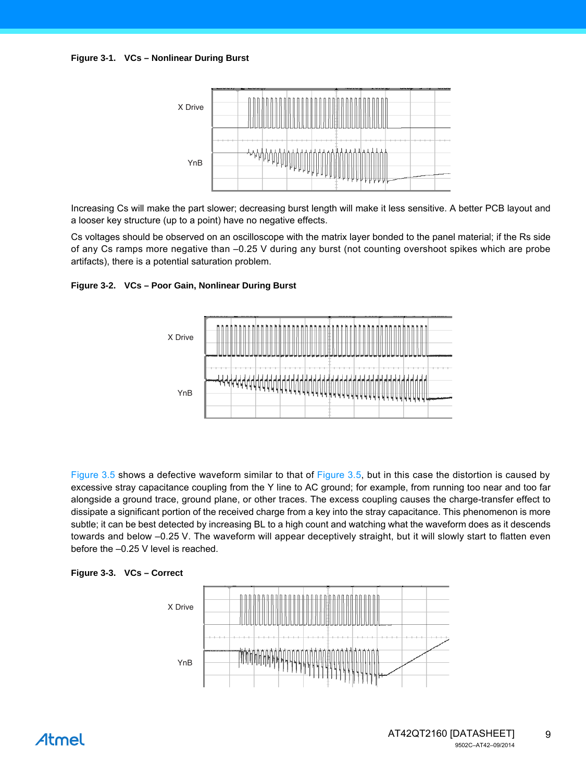

Increasing Cs will make the part slower; decreasing burst length will make it less sensitive. A better PCB layout and a looser key structure (up to a point) have no negative effects.

Cs voltages should be observed on an oscilloscope with the matrix layer bonded to the panel material; if the Rs side of any Cs ramps more negative than –0.25 V during any burst (not counting overshoot spikes which are probe artifacts), there is a potential saturation problem.

#### **Figure 3-2. VCs – Poor Gain, Nonlinear During Burst**



[Figure 3.5](#page-9-0) shows a defective waveform similar to that of [Figure 3.5](#page-9-0), but in this case the distortion is caused by excessive stray capacitance coupling from the Y line to AC ground; for example, from running too near and too far alongside a ground trace, ground plane, or other traces. The excess coupling causes the charge-transfer effect to dissipate a significant portion of the received charge from a key into the stray capacitance. This phenomenon is more subtle; it can be best detected by increasing BL to a high count and watching what the waveform does as it descends towards and below –0.25 V. The waveform will appear deceptively straight, but it will slowly start to flatten even before the –0.25 V level is reached.



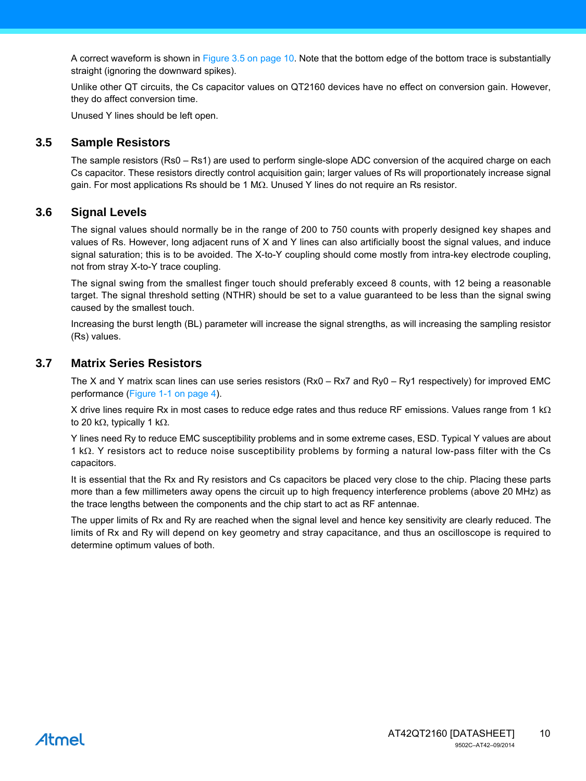A correct waveform is shown in [Figure 3.5 on page 10](#page-9-0). Note that the bottom edge of the bottom trace is substantially straight (ignoring the downward spikes).

Unlike other QT circuits, the Cs capacitor values on QT2160 devices have no effect on conversion gain. However, they do affect conversion time.

Unused Y lines should be left open.

### <span id="page-9-0"></span>**3.5 Sample Resistors**

The sample resistors (Rs0 – Rs1) are used to perform single-slope ADC conversion of the acquired charge on each Cs capacitor. These resistors directly control acquisition gain; larger values of Rs will proportionately increase signal gain. For most applications Rs should be 1 M $\Omega$ . Unused Y lines do not require an Rs resistor.

### **3.6 Signal Levels**

The signal values should normally be in the range of 200 to 750 counts with properly designed key shapes and values of Rs. However, long adjacent runs of X and Y lines can also artificially boost the signal values, and induce signal saturation; this is to be avoided. The X-to-Y coupling should come mostly from intra-key electrode coupling, not from stray X-to-Y trace coupling.

The signal swing from the smallest finger touch should preferably exceed 8 counts, with 12 being a reasonable target. The signal threshold setting (NTHR) should be set to a value guaranteed to be less than the signal swing caused by the smallest touch.

Increasing the burst length (BL) parameter will increase the signal strengths, as will increasing the sampling resistor (Rs) values.

### <span id="page-9-1"></span>**3.7 Matrix Series Resistors**

The X and Y matrix scan lines can use series resistors (Rx0 – Rx7 and Ry0 – Ry1 respectively) for improved EMC performance (Figure 1-1 on page 4).

X drive lines require Rx in most cases to reduce edge rates and thus reduce RF emissions. Values range from 1  $k\Omega$ to 20 k $\Omega$ , typically 1 k $\Omega$ .

Y lines need Ry to reduce EMC susceptibility problems and in some extreme cases, ESD. Typical Y values are about 1 k $\Omega$ . Y resistors act to reduce noise susceptibility problems by forming a natural low-pass filter with the Cs capacitors.

It is essential that the Rx and Ry resistors and Cs capacitors be placed very close to the chip. Placing these parts more than a few millimeters away opens the circuit up to high frequency interference problems (above 20 MHz) as the trace lengths between the components and the chip start to act as RF antennae.

The upper limits of Rx and Ry are reached when the signal level and hence key sensitivity are clearly reduced. The limits of Rx and Ry will depend on key geometry and stray capacitance, and thus an oscilloscope is required to determine optimum values of both.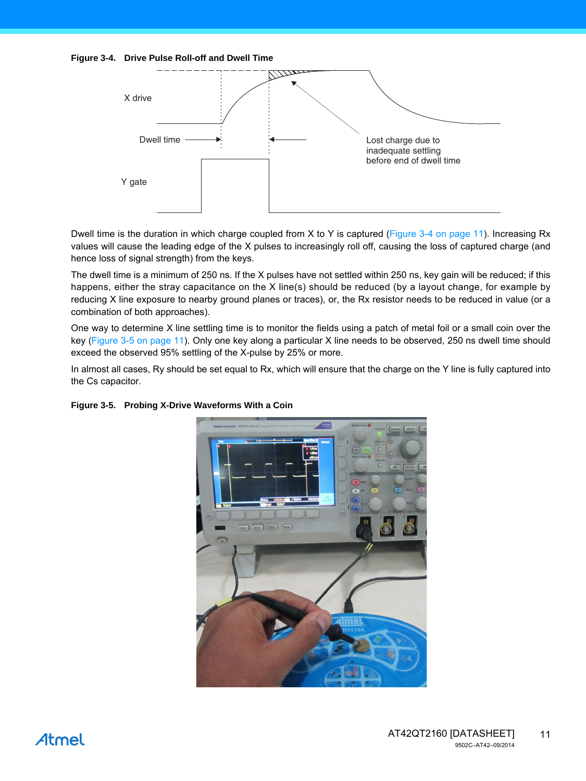<span id="page-10-0"></span>



Dwell time is the duration in which charge coupled from X to Y is captured ([Figure 3-4 on page 11](#page-10-0)). Increasing Rx values will cause the leading edge of the X pulses to increasingly roll off, causing the loss of captured charge (and hence loss of signal strength) from the keys.

The dwell time is a minimum of 250 ns. If the X pulses have not settled within 250 ns, key gain will be reduced; if this happens, either the stray capacitance on the X line(s) should be reduced (by a layout change, for example by reducing X line exposure to nearby ground planes or traces), or, the Rx resistor needs to be reduced in value (or a combination of both approaches).

One way to determine X line settling time is to monitor the fields using a patch of metal foil or a small coin over the key ([Figure 3-5 on page 11\)](#page-10-1). Only one key along a particular X line needs to be observed, 250 ns dwell time should exceed the observed 95% settling of the X-pulse by 25% or more.

In almost all cases, Ry should be set equal to Rx, which will ensure that the charge on the Y line is fully captured into the Cs capacitor.



#### <span id="page-10-1"></span>**Figure 3-5. Probing X-Drive Waveforms With a Coin**

## Atmel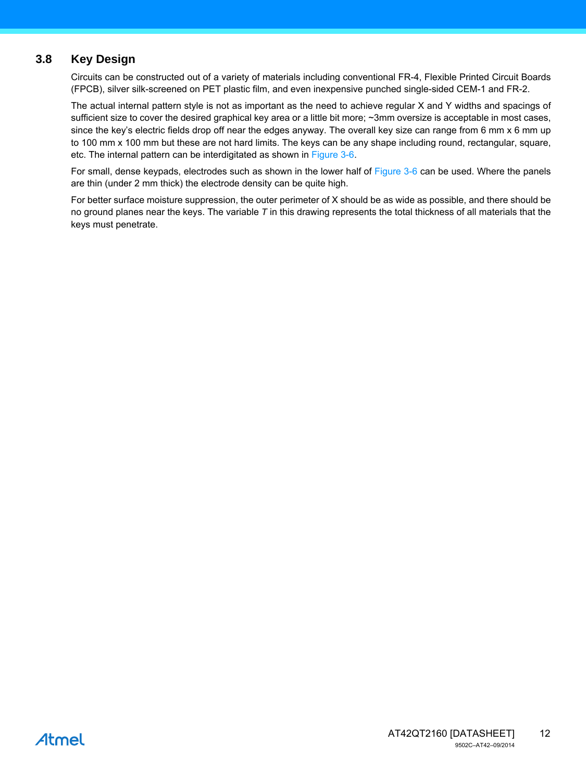## **3.8 Key Design**

Circuits can be constructed out of a variety of materials including conventional FR-4, Flexible Printed Circuit Boards (FPCB), silver silk-screened on PET plastic film, and even inexpensive punched single-sided CEM-1 and FR-2.

The actual internal pattern style is not as important as the need to achieve regular X and Y widths and spacings of sufficient size to cover the desired graphical key area or a little bit more; ~3mm oversize is acceptable in most cases, since the key's electric fields drop off near the edges anyway. The overall key size can range from 6 mm x 6 mm up to 100 mm x 100 mm but these are not hard limits. The keys can be any shape including round, rectangular, square, etc. The internal pattern can be interdigitated as shown in [Figure 3-6](#page-12-0).

For small, dense keypads, electrodes such as shown in the lower half of [Figure 3-6](#page-12-0) can be used. Where the panels are thin (under 2 mm thick) the electrode density can be quite high.

For better surface moisture suppression, the outer perimeter of X should be as wide as possible, and there should be no ground planes near the keys. The variable *T* in this drawing represents the total thickness of all materials that the keys must penetrate.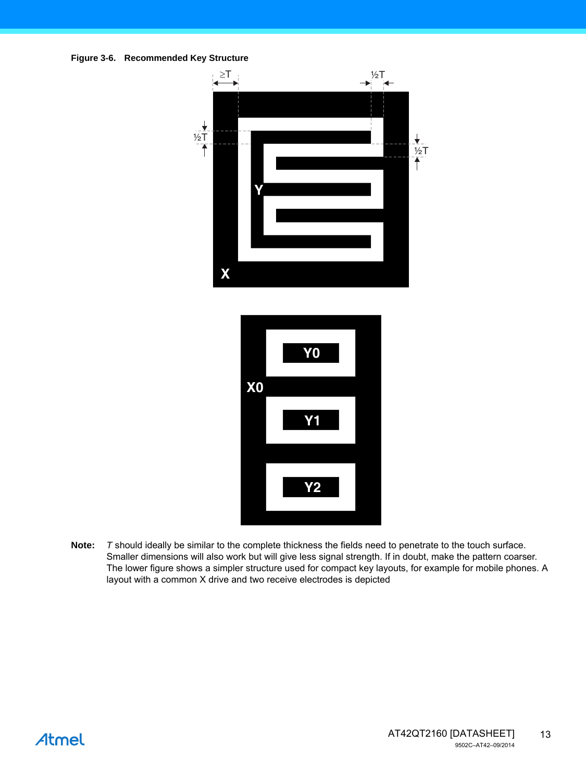<span id="page-12-0"></span>



**Note:** *T* should ideally be similar to the complete thickness the fields need to penetrate to the touch surface. Smaller dimensions will also work but will give less signal strength. If in doubt, make the pattern coarser. The lower figure shows a simpler structure used for compact key layouts, for example for mobile phones. A layout with a common X drive and two receive electrodes is depicted

## Atmel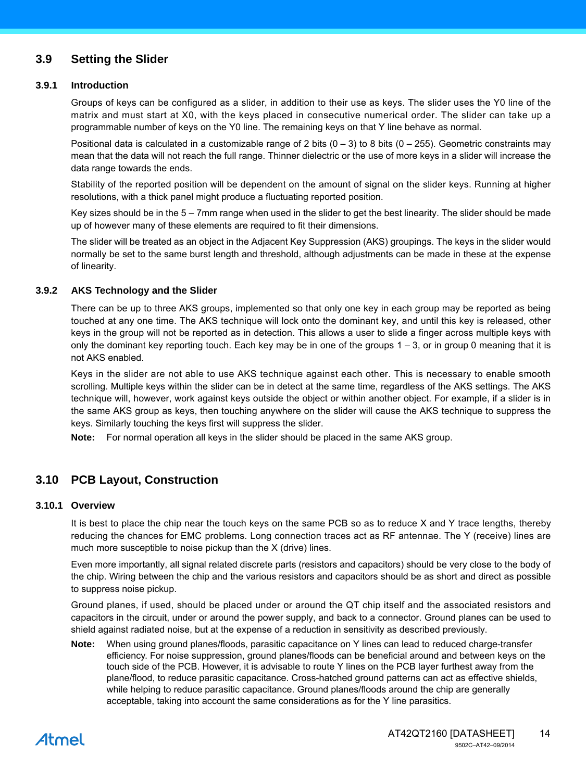## **3.9 Setting the Slider**

#### **3.9.1 Introduction**

Groups of keys can be configured as a slider, in addition to their use as keys. The slider uses the Y0 line of the matrix and must start at X0, with the keys placed in consecutive numerical order. The slider can take up a programmable number of keys on the Y0 line. The remaining keys on that Y line behave as normal.

Positional data is calculated in a customizable range of 2 bits  $(0 - 3)$  to 8 bits  $(0 - 255)$ . Geometric constraints may mean that the data will not reach the full range. Thinner dielectric or the use of more keys in a slider will increase the data range towards the ends.

Stability of the reported position will be dependent on the amount of signal on the slider keys. Running at higher resolutions, with a thick panel might produce a fluctuating reported position.

Key sizes should be in the 5 – 7mm range when used in the slider to get the best linearity. The slider should be made up of however many of these elements are required to fit their dimensions.

The slider will be treated as an object in the Adjacent Key Suppression (AKS) groupings. The keys in the slider would normally be set to the same burst length and threshold, although adjustments can be made in these at the expense of linearity.

#### <span id="page-13-0"></span>**3.9.2 AKS Technology and the Slider**

There can be up to three AKS groups, implemented so that only one key in each group may be reported as being touched at any one time. The AKS technique will lock onto the dominant key, and until this key is released, other keys in the group will not be reported as in detection. This allows a user to slide a finger across multiple keys with only the dominant key reporting touch. Each key may be in one of the groups  $1 - 3$ , or in group 0 meaning that it is not AKS enabled.

Keys in the slider are not able to use AKS technique against each other. This is necessary to enable smooth scrolling. Multiple keys within the slider can be in detect at the same time, regardless of the AKS settings. The AKS technique will, however, work against keys outside the object or within another object. For example, if a slider is in the same AKS group as keys, then touching anywhere on the slider will cause the AKS technique to suppress the keys. Similarly touching the keys first will suppress the slider.

**Note:** For normal operation all keys in the slider should be placed in the same AKS group.

## **3.10 PCB Layout, Construction**

#### **3.10.1 Overview**

It is best to place the chip near the touch keys on the same PCB so as to reduce X and Y trace lengths, thereby reducing the chances for EMC problems. Long connection traces act as RF antennae. The Y (receive) lines are much more susceptible to noise pickup than the X (drive) lines.

Even more importantly, all signal related discrete parts (resistors and capacitors) should be very close to the body of the chip. Wiring between the chip and the various resistors and capacitors should be as short and direct as possible to suppress noise pickup.

Ground planes, if used, should be placed under or around the QT chip itself and the associated resistors and capacitors in the circuit, under or around the power supply, and back to a connector. Ground planes can be used to shield against radiated noise, but at the expense of a reduction in sensitivity as described previously.

**Note:** When using ground planes/floods, parasitic capacitance on Y lines can lead to reduced charge-transfer efficiency. For noise suppression, ground planes/floods can be beneficial around and between keys on the touch side of the PCB. However, it is advisable to route Y lines on the PCB layer furthest away from the plane/flood, to reduce parasitic capacitance. Cross-hatched ground patterns can act as effective shields, while helping to reduce parasitic capacitance. Ground planes/floods around the chip are generally acceptable, taking into account the same considerations as for the Y line parasitics.

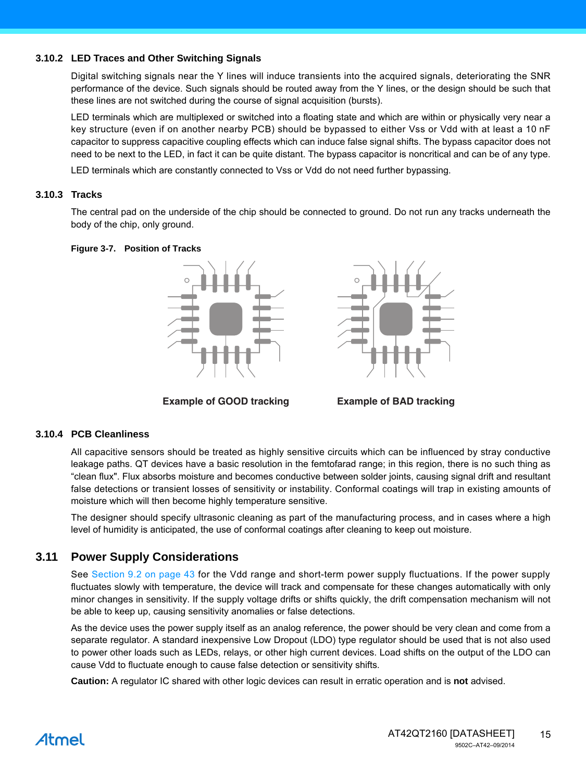#### **3.10.2 LED Traces and Other Switching Signals**

Digital switching signals near the Y lines will induce transients into the acquired signals, deteriorating the SNR performance of the device. Such signals should be routed away from the Y lines, or the design should be such that these lines are not switched during the course of signal acquisition (bursts).

LED terminals which are multiplexed or switched into a floating state and which are within or physically very near a key structure (even if on another nearby PCB) should be bypassed to either Vss or Vdd with at least a 10 nF capacitor to suppress capacitive coupling effects which can induce false signal shifts. The bypass capacitor does not need to be next to the LED, in fact it can be quite distant. The bypass capacitor is noncritical and can be of any type.

LED terminals which are constantly connected to Vss or Vdd do not need further bypassing.

#### **3.10.3 Tracks**

The central pad on the underside of the chip should be connected to ground. Do not run any tracks underneath the body of the chip, only ground.

#### **Figure 3-7. Position of Tracks**



**Example of GOOD tracking Example of BAD tracking**



#### **3.10.4 PCB Cleanliness**

All capacitive sensors should be treated as highly sensitive circuits which can be influenced by stray conductive leakage paths. QT devices have a basic resolution in the femtofarad range; in this region, there is no such thing as "clean flux". Flux absorbs moisture and becomes conductive between solder joints, causing signal drift and resultant false detections or transient losses of sensitivity or instability. Conformal coatings will trap in existing amounts of moisture which will then become highly temperature sensitive.

The designer should specify ultrasonic cleaning as part of the manufacturing process, and in cases where a high level of humidity is anticipated, the use of conformal coatings after cleaning to keep out moisture.

## <span id="page-14-0"></span>**3.11 Power Supply Considerations**

See [Section 9.2 on page 43](#page-42-0) for the Vdd range and short-term power supply fluctuations. If the power supply fluctuates slowly with temperature, the device will track and compensate for these changes automatically with only minor changes in sensitivity. If the supply voltage drifts or shifts quickly, the drift compensation mechanism will not be able to keep up, causing sensitivity anomalies or false detections.

As the device uses the power supply itself as an analog reference, the power should be very clean and come from a separate regulator. A standard inexpensive Low Dropout (LDO) type regulator should be used that is not also used to power other loads such as LEDs, relays, or other high current devices. Load shifts on the output of the LDO can cause Vdd to fluctuate enough to cause false detection or sensitivity shifts.

**Caution:** A regulator IC shared with other logic devices can result in erratic operation and is **not** advised.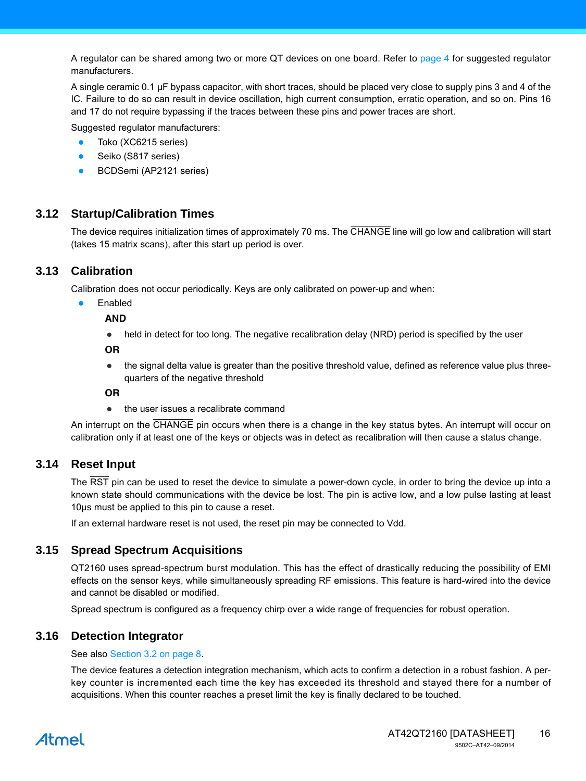A regulator can be shared among two or more QT devices on one board. Refer to page 4 for suggested regulator manufacturers.

A single ceramic 0.1 µF bypass capacitor, with short traces, should be placed very close to supply pins 3 and 4 of the IC. Failure to do so can result in device oscillation, high current consumption, erratic operation, and so on. Pins 16 and 17 do not require bypassing if the traces between these pins and power traces are short.

Suggested regulator manufacturers:

- Toko (XC6215 series)
- Seiko (S817 series)
- BCDSemi (AP2121 series)

## **3.12 Startup/Calibration Times**

The device requires initialization times of approximately 70 ms. The CHANGE line will go low and calibration will start (takes 15 matrix scans), after this start up period is over.

## **3.13 Calibration**

Calibration does not occur periodically. Keys are only calibrated on power-up and when:

Enabled

**AND**

• held in detect for too long. The negative recalibration delay (NRD) period is specified by the user

**OR**

• the signal delta value is greater than the positive threshold value, defined as reference value plus threequarters of the negative threshold

**OR**

• the user issues a recalibrate command

An interrupt on the CHANGE pin occurs when there is a change in the key status bytes. An interrupt will occur on calibration only if at least one of the keys or objects was in detect as recalibration will then cause a status change.

## **3.14 Reset Input**

The RST pin can be used to reset the device to simulate a power-down cycle, in order to bring the device up into a known state should communications with the device be lost. The pin is active low, and a low pulse lasting at least 10µs must be applied to this pin to cause a reset.

If an external hardware reset is not used, the reset pin may be connected to Vdd.

## **3.15 Spread Spectrum Acquisitions**

QT2160 uses spread-spectrum burst modulation. This has the effect of drastically reducing the possibility of EMI effects on the sensor keys, while simultaneously spreading RF emissions. This feature is hard-wired into the device and cannot be disabled or modified.

Spread spectrum is configured as a frequency chirp over a wide range of frequencies for robust operation.

## **3.16 Detection Integrator**

See also Section 3.2 on page 8.

The device features a detection integration mechanism, which acts to confirm a detection in a robust fashion. A perkey counter is incremented each time the key has exceeded its threshold and stayed there for a number of acquisitions. When this counter reaches a preset limit the key is finally declared to be touched.

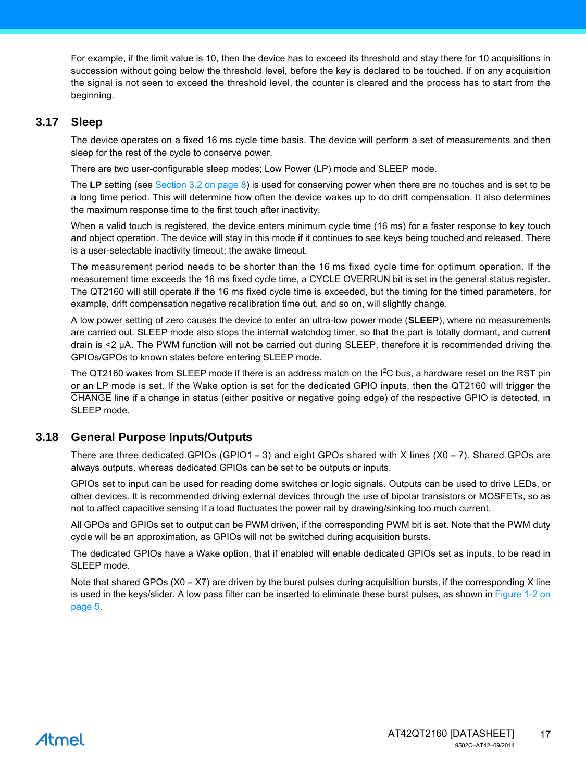For example, if the limit value is 10, then the device has to exceed its threshold and stay there for 10 acquisitions in succession without going below the threshold level, before the key is declared to be touched. If on any acquisition the signal is not seen to exceed the threshold level, the counter is cleared and the process has to start from the beginning.

### <span id="page-16-0"></span>**3.17 Sleep**

The device operates on a fixed 16 ms cycle time basis. The device will perform a set of measurements and then sleep for the rest of the cycle to conserve power.

There are two user-configurable sleep modes; Low Power (LP) mode and SLEEP mode.

The **LP** setting (see Section 3.2 on page 8) is used for conserving power when there are no touches and is set to be a long time period. This will determine how often the device wakes up to do drift compensation. It also determines the maximum response time to the first touch after inactivity.

When a valid touch is registered, the device enters minimum cycle time (16 ms) for a faster response to key touch and object operation. The device will stay in this mode if it continues to see keys being touched and released. There is a user-selectable inactivity timeout; the awake timeout.

The measurement period needs to be shorter than the 16 ms fixed cycle time for optimum operation. If the measurement time exceeds the 16 ms fixed cycle time, a CYCLE OVERRUN bit is set in the general status register. The QT2160 will still operate if the 16 ms fixed cycle time is exceeded, but the timing for the timed parameters, for example, drift compensation negative recalibration time out, and so on, will slightly change.

A low power setting of zero causes the device to enter an ultra-low power mode (**SLEEP**), where no measurements are carried out. SLEEP mode also stops the internal watchdog timer, so that the part is totally dormant, and current drain is <2 µA. The PWM function will not be carried out during SLEEP, therefore it is recommended driving the GPIOs/GPOs to known states before entering SLEEP mode.

The QT2160 wakes from SLEEP mode if there is an address match on the I<sup>2</sup>C bus, a hardware reset on the RST pin or an LP mode is set. If the Wake option is set for the dedicated GPIO inputs, then the QT2160 will trigger the CHANGE line if a change in status (either positive or negative going edge) of the respective GPIO is detected, in SLEEP mode.

## **3.18 General Purpose Inputs/Outputs**

There are three dedicated GPIOs (GPIO1 **–** 3) and eight GPOs shared with X lines (X0 **–** 7). Shared GPOs are always outputs, whereas dedicated GPIOs can be set to be outputs or inputs.

GPIOs set to input can be used for reading dome switches or logic signals. Outputs can be used to drive LEDs, or other devices. It is recommended driving external devices through the use of bipolar transistors or MOSFETs, so as not to affect capacitive sensing if a load fluctuates the power rail by drawing/sinking too much current.

All GPOs and GPIOs set to output can be PWM driven, if the corresponding PWM bit is set. Note that the PWM duty cycle will be an approximation, as GPIOs will not be switched during acquisition bursts.

The dedicated GPIOs have a Wake option, that if enabled will enable dedicated GPIOs set as inputs, to be read in SLEEP mode.

Note that shared GPOs (X0 – X7) are driven by the burst pulses during acquisition bursts, if the corresponding X line is used in the keys/slider. A low pass filter can be inserted to eliminate these burst pulses, as shown in [Figure 1-2 on](#page-4-0) [page 5](#page-4-0).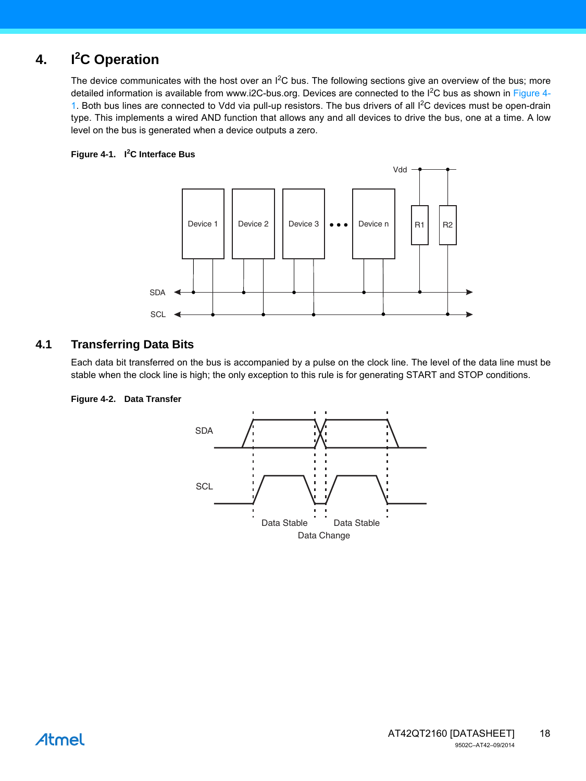#### **4. I<sup>2</sup> I<sup>2</sup>C** Operation

The device communicates with the host over an  $I^2C$  bus. The following sections give an overview of the bus; more detailed information is available from www.i2C-bus.org. Devices are connected to the I<sup>2</sup>C bus as shown in Figure 4-1. Both bus lines are connected to Vdd via pull-up resistors. The bus drivers of all  $1<sup>2</sup>C$  devices must be open-drain type. This implements a wired AND function that allows any and all devices to drive the bus, one at a time. A low level on the bus is generated when a device outputs a zero.

#### **Figure 4-1. I<sup>2</sup> C Interface Bus**



## **4.1 Transferring Data Bits**

Each data bit transferred on the bus is accompanied by a pulse on the clock line. The level of the data line must be stable when the clock line is high; the only exception to this rule is for generating START and STOP conditions.

#### **Figure 4-2. Data Transfer**

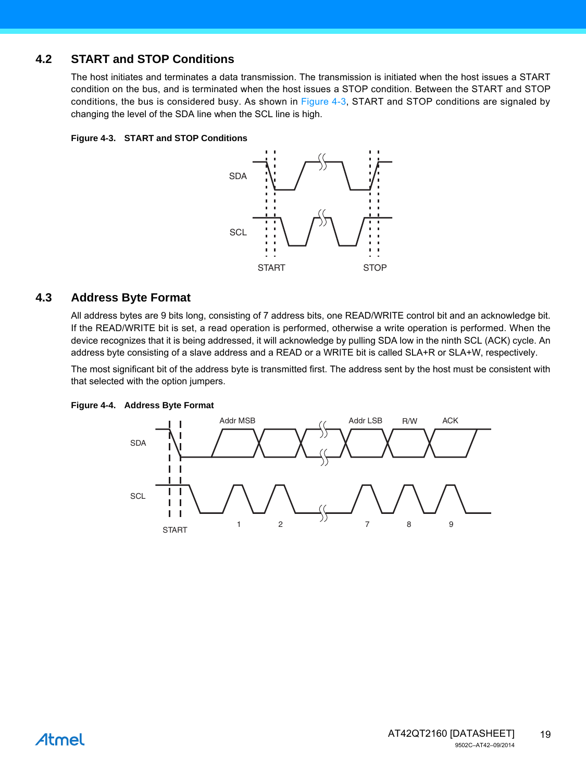## **4.2 START and STOP Conditions**

The host initiates and terminates a data transmission. The transmission is initiated when the host issues a START condition on the bus, and is terminated when the host issues a STOP condition. Between the START and STOP conditions, the bus is considered busy. As shown in Figure 4-3, START and STOP conditions are signaled by changing the level of the SDA line when the SCL line is high.

#### **Figure 4-3. START and STOP Conditions**



#### **4.3 Address Byte Format**

All address bytes are 9 bits long, consisting of 7 address bits, one READ/WRITE control bit and an acknowledge bit. If the READ/WRITE bit is set, a read operation is performed, otherwise a write operation is performed. When the device recognizes that it is being addressed, it will acknowledge by pulling SDA low in the ninth SCL (ACK) cycle. An address byte consisting of a slave address and a READ or a WRITE bit is called SLA+R or SLA+W, respectively.

The most significant bit of the address byte is transmitted first. The address sent by the host must be consistent with that selected with the option jumpers.

#### **Figure 4-4. Address Byte Format**

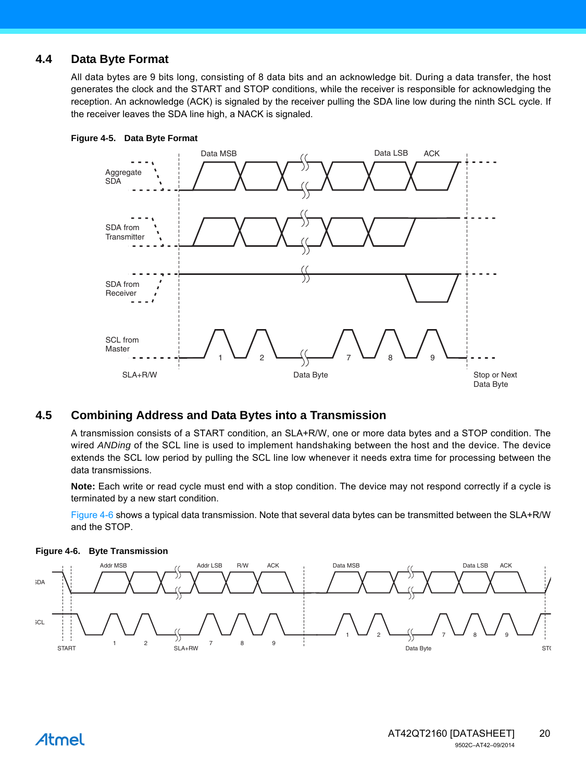## **4.4 Data Byte Format**

All data bytes are 9 bits long, consisting of 8 data bits and an acknowledge bit. During a data transfer, the host generates the clock and the START and STOP conditions, while the receiver is responsible for acknowledging the reception. An acknowledge (ACK) is signaled by the receiver pulling the SDA line low during the ninth SCL cycle. If the receiver leaves the SDA line high, a NACK is signaled.





## **4.5 Combining Address and Data Bytes into a Transmission**

A transmission consists of a START condition, an SLA+R/W, one or more data bytes and a STOP condition. The wired *ANDing* of the SCL line is used to implement handshaking between the host and the device. The device extends the SCL low period by pulling the SCL line low whenever it needs extra time for processing between the data transmissions.

**Note:** Each write or read cycle must end with a stop condition. The device may not respond correctly if a cycle is terminated by a new start condition.

Figure 4-6 shows a typical data transmission. Note that several data bytes can be transmitted between the SLA+R/W and the STOP.



#### **Figure 4-6. Byte Transmission**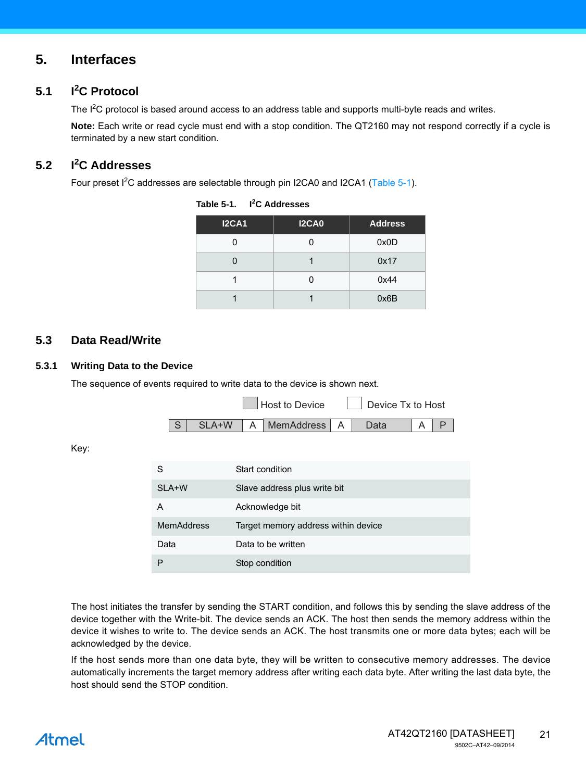## **5. Interfaces**

#### <span id="page-20-1"></span>**5.1 I<sup>2</sup> C Protocol**

The  $I<sup>2</sup>C$  protocol is based around access to an address table and supports multi-byte reads and writes.

**Note:** Each write or read cycle must end with a stop condition. The QT2160 may not respond correctly if a cycle is terminated by a new start condition.

#### <span id="page-20-0"></span>**5.2 I<sup>2</sup> C Addresses**

Four preset I<sup>2</sup>C addresses are selectable through pin I2CA0 and I2CA1 (Table 5-1).

| <b>I2CA1</b> | <b>I2CA0</b> | <b>Address</b> |
|--------------|--------------|----------------|
|              |              | 0x0D           |
|              |              | 0x17           |
|              |              | 0x44           |
|              |              | 0x6B           |

| Table 5-1. | <sup>2</sup> C Addresses |
|------------|--------------------------|
|------------|--------------------------|

## **5.3 Data Read/Write**

#### **5.3.1 Writing Data to the Device**

The sequence of events required to write data to the device is shown next.



Key:

| S          | Start condition                     |
|------------|-------------------------------------|
| SLA+W      | Slave address plus write bit        |
| А          | Acknowledge bit                     |
| MemAddress | Target memory address within device |
| Data       | Data to be written                  |
|            | Stop condition                      |

The host initiates the transfer by sending the START condition, and follows this by sending the slave address of the device together with the Write-bit. The device sends an ACK. The host then sends the memory address within the device it wishes to write to. The device sends an ACK. The host transmits one or more data bytes; each will be acknowledged by the device.

If the host sends more than one data byte, they will be written to consecutive memory addresses. The device automatically increments the target memory address after writing each data byte. After writing the last data byte, the host should send the STOP condition.

## Atmel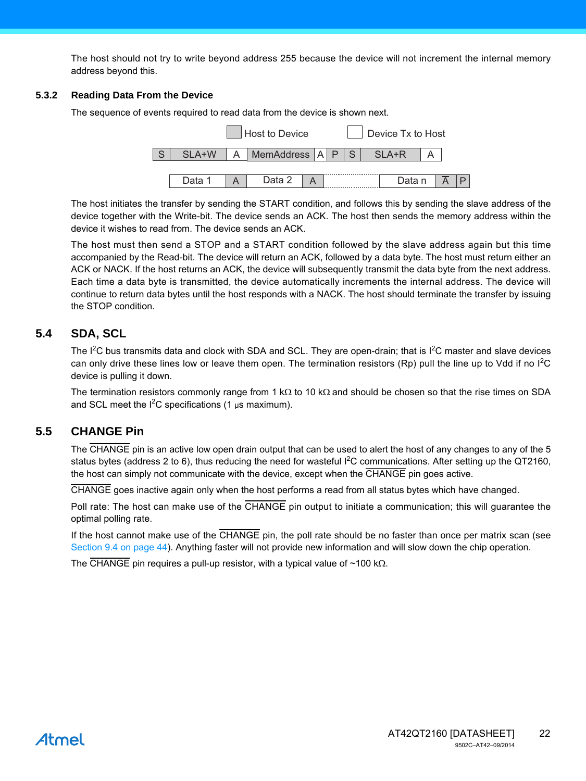The host should not try to write beyond address 255 because the device will not increment the internal memory address beyond this.

#### **5.3.2 Reading Data From the Device**

The sequence of events required to read data from the device is shown next.



The host initiates the transfer by sending the START condition, and follows this by sending the slave address of the device together with the Write-bit. The device sends an ACK. The host then sends the memory address within the device it wishes to read from. The device sends an ACK.

The host must then send a STOP and a START condition followed by the slave address again but this time accompanied by the Read-bit. The device will return an ACK, followed by a data byte. The host must return either an ACK or NACK. If the host returns an ACK, the device will subsequently transmit the data byte from the next address. Each time a data byte is transmitted, the device automatically increments the internal address. The device will continue to return data bytes until the host responds with a NACK. The host should terminate the transfer by issuing the STOP condition.

## <span id="page-21-0"></span>**5.4 SDA, SCL**

The I<sup>2</sup>C bus transmits data and clock with SDA and SCL. They are open-drain; that is I<sup>2</sup>C master and slave devices can only drive these lines low or leave them open. The termination resistors (Rp) pull the line up to Vdd if no  $1^2C$ device is pulling it down.

The termination resistors commonly range from 1 k $\Omega$  to 10 k $\Omega$  and should be chosen so that the rise times on SDA and SCL meet the  $I^2C$  specifications (1  $\mu$ s maximum).

## <span id="page-21-1"></span>**5.5 CHANGE Pin**

The CHANGE pin is an active low open drain output that can be used to alert the host of any changes to any of the 5 status bytes (address 2 to 6), thus reducing the need for wasteful I<sup>2</sup>C communications. After setting up the QT2160, the host can simply not communicate with the device, except when the CHANGE pin goes active.

CHANGE goes inactive again only when the host performs a read from all status bytes which have changed.

Poll rate: The host can make use of the CHANGE pin output to initiate a communication; this will guarantee the optimal polling rate.

If the host cannot make use of the CHANGE pin, the poll rate should be no faster than once per matrix scan (see [Section 9.4 on page 44\)](#page-43-0). Anything faster will not provide new information and will slow down the chip operation.

The CHANGE pin requires a pull-up resistor, with a typical value of  $~100$  k $\Omega$ .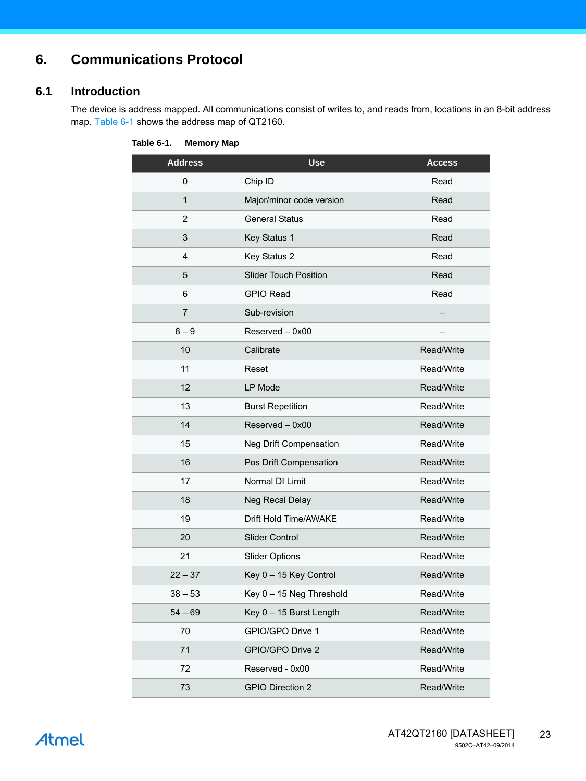## **6. Communications Protocol**

## **6.1 Introduction**

The device is address mapped. All communications consist of writes to, and reads from, locations in an 8-bit address map. Table 6-1 shows the address map of QT2160.

| <b>Address</b> | <b>Use</b>                   | <b>Access</b> |
|----------------|------------------------------|---------------|
| 0              | Chip ID                      | Read          |
| $\mathbf{1}$   | Major/minor code version     | Read          |
| $\overline{2}$ | <b>General Status</b>        | Read          |
| 3              | Key Status 1                 | Read          |
| 4              | Key Status 2                 | Read          |
| 5              | <b>Slider Touch Position</b> | Read          |
| 6              | <b>GPIO Read</b>             | Read          |
| $\overline{7}$ | Sub-revision                 |               |
| $8-9$          | Reserved - 0x00              |               |
| 10             | Calibrate                    | Read/Write    |
| 11             | Reset                        | Read/Write    |
| 12             | LP Mode                      | Read/Write    |
| 13             | <b>Burst Repetition</b>      | Read/Write    |
| 14             | Reserved - 0x00              | Read/Write    |
| 15             | Neg Drift Compensation       | Read/Write    |
| 16             | Pos Drift Compensation       | Read/Write    |
| 17             | Normal DI Limit              | Read/Write    |
| 18             | Neg Recal Delay              | Read/Write    |
| 19             | Drift Hold Time/AWAKE        | Read/Write    |
| 20             | <b>Slider Control</b>        | Read/Write    |
| 21             | <b>Slider Options</b>        | Read/Write    |
| $22 - 37$      | Key 0 - 15 Key Control       | Read/Write    |
| $38 - 53$      | Key 0 - 15 Neg Threshold     | Read/Write    |
| $54 - 69$      | Key 0 - 15 Burst Length      | Read/Write    |
| 70             | GPIO/GPO Drive 1             | Read/Write    |
| 71             | GPIO/GPO Drive 2             | Read/Write    |
| 72             | Reserved - 0x00              | Read/Write    |
| 73             | <b>GPIO Direction 2</b>      | Read/Write    |

**Table 6-1. Memory Map**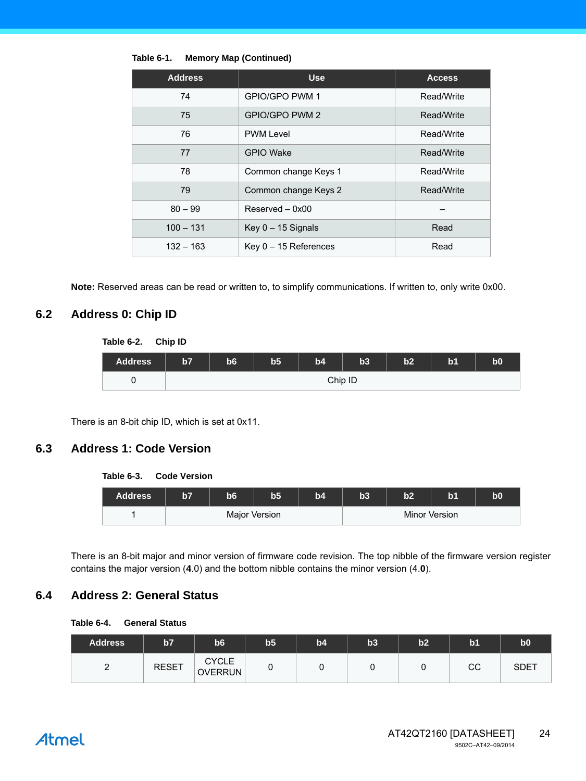| <b>Address</b> | <b>Use</b>              | <b>Access</b> |
|----------------|-------------------------|---------------|
| 74             | GPIO/GPO PWM 1          | Read/Write    |
| 75             | GPIO/GPO PWM 2          | Read/Write    |
| 76             | <b>PWM Level</b>        | Read/Write    |
| 77             | <b>GPIO Wake</b>        | Read/Write    |
| 78             | Common change Keys 1    | Read/Write    |
| 79             | Common change Keys 2    | Read/Write    |
| $80 - 99$      | $Reserved - 0x00$       |               |
| $100 - 131$    | Key $0 - 15$ Signals    | Read          |
| $132 - 163$    | Key $0 - 15$ References | Read          |

**Table 6-1. Memory Map (Continued)**

**Note:** Reserved areas can be read or written to, to simplify communications. If written to, only write 0x00.

## **6.2 Address 0: Chip ID**

| Table 6-2. Chip ID |    |    |                |    |         |    |                |                |
|--------------------|----|----|----------------|----|---------|----|----------------|----------------|
| <b>Address</b>     | b7 | b6 | b <sub>5</sub> | b4 | b3      | b2 | b <sub>1</sub> | b <sub>0</sub> |
|                    |    |    |                |    | Chip ID |    |                |                |

There is an 8-bit chip ID, which is set at 0x11.

### **6.3 Address 1: Code Version**

#### **Table 6-3. Code Version**

| <b>Address</b> | 157 | hĥ | b5            | b4 | b3 | h2<br>$\cdot$ . |               | b0 |
|----------------|-----|----|---------------|----|----|-----------------|---------------|----|
|                |     |    | Major Version |    |    |                 | Minor Version |    |

There is an 8-bit major and minor version of firmware code revision. The top nibble of the firmware version register contains the major version (**4**.0) and the bottom nibble contains the minor version (4.**0**).

## **6.4 Address 2: General Status**

| <b>General Status</b><br>Table 6-4. |
|-------------------------------------|
|-------------------------------------|

| <b>Address</b> | b7           | b6                             | b <sub>5</sub> | b4 | b3 | b2 | b <sub>1</sub> | b <sub>0</sub> |
|----------------|--------------|--------------------------------|----------------|----|----|----|----------------|----------------|
| -              | <b>RESET</b> | <b>CYCLE</b><br><b>OVERRUN</b> |                |    | v  |    | CС             | <b>SDET</b>    |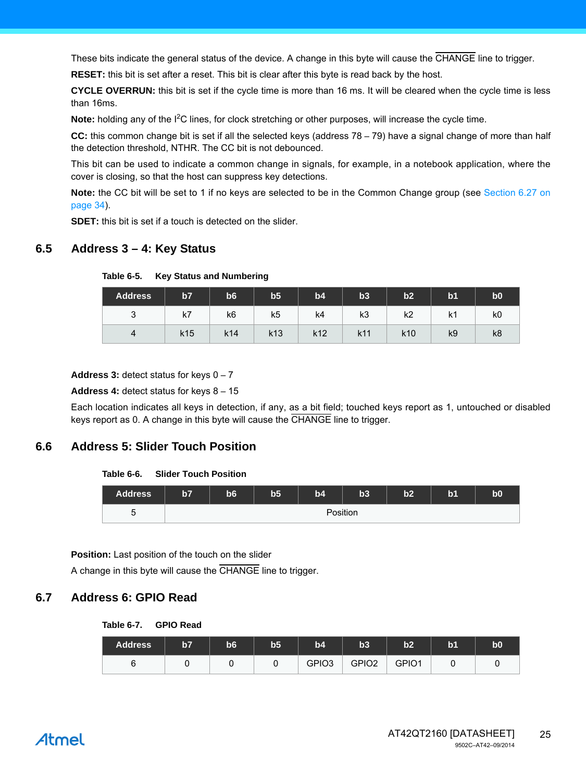These bits indicate the general status of the device. A change in this byte will cause the CHANGE line to trigger.

**RESET:** this bit is set after a reset. This bit is clear after this byte is read back by the host.

**CYCLE OVERRUN:** this bit is set if the cycle time is more than 16 ms. It will be cleared when the cycle time is less than 16ms.

Note: holding any of the I<sup>2</sup>C lines, for clock stretching or other purposes, will increase the cycle time.

**CC:** this common change bit is set if all the selected keys (address 78 – 79) have a signal change of more than half the detection threshold, NTHR. The CC bit is not debounced.

This bit can be used to indicate a common change in signals, for example, in a notebook application, where the cover is closing, so that the host can suppress key detections.

**Note:** the CC bit will be set to 1 if no keys are selected to be in the Common Change group (see [Section 6.27 on](#page-33-0) [page 34](#page-33-0)).

**SDET:** this bit is set if a touch is detected on the slider.

## **6.5 Address 3 – 4: Key Status**

| <b>Address</b> | b7              | b6  | b5              | b4              | b3  | b2              | b <sub>1</sub> | b <sub>0</sub> |
|----------------|-----------------|-----|-----------------|-----------------|-----|-----------------|----------------|----------------|
| ົ<br>ັ         | k7              | k6  | k5              | k4              | k3  | k2              | k1             | k0             |
| 4              | k <sub>15</sub> | k14 | k <sub>13</sub> | k <sub>12</sub> | k11 | k <sub>10</sub> | k9             | k8             |

**Table 6-5. Key Status and Numbering**

**Address 3:** detect status for keys 0 – 7

#### **Address 4:** detect status for keys 8 – 15

Each location indicates all keys in detection, if any, as a bit field; touched keys report as 1, untouched or disabled keys report as 0. A change in this byte will cause the CHANGE line to trigger.

## **6.6 Address 5: Slider Touch Position**

#### **Table 6-6. Slider Touch Position**

| <b>Address</b> | b7 | b6 | b <sub>5</sub> | b4 | b3       | b2 | b <sub>1</sub> | $\bf{b0}$ |
|----------------|----|----|----------------|----|----------|----|----------------|-----------|
| -<br>∽<br>u    |    |    |                |    | Position |    |                |           |

**Position:** Last position of the touch on the slider

A change in this byte will cause the CHANGE line to trigger.

#### **6.7 Address 6: GPIO Read**

**Table 6-7. GPIO Read**

| <b>Address</b> | b7 | b6 | b5 | b4                | b3                | b2    | $\mathsf{b}$ 1 | $\bf{b0}$ |
|----------------|----|----|----|-------------------|-------------------|-------|----------------|-----------|
|                |    |    |    | GPIO <sub>3</sub> | GPIO <sub>2</sub> | GPIO1 |                |           |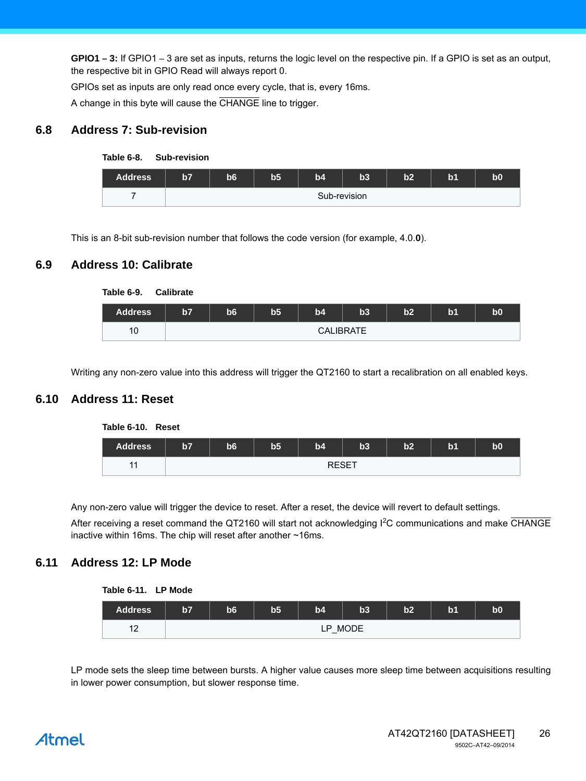**GPIO1 – 3:** If GPIO1 – 3 are set as inputs, returns the logic level on the respective pin. If a GPIO is set as an output, the respective bit in GPIO Read will always report 0.

GPIOs set as inputs are only read once every cycle, that is, every 16ms.

A change in this byte will cause the CHANGE line to trigger.

## **6.8 Address 7: Sub-revision**





This is an 8-bit sub-revision number that follows the code version (for example, 4.0.**0**).

## **6.9 Address 10: Calibrate**



Writing any non-zero value into this address will trigger the QT2160 to start a recalibration on all enabled keys.

## **6.10 Address 11: Reset**



Any non-zero value will trigger the device to reset. After a reset, the device will revert to default settings.

After receiving a reset command the QT2160 will start not acknowledging I<sup>2</sup>C communications and make CHANGE inactive within 16ms. The chip will reset after another ~16ms.

## <span id="page-25-0"></span>**6.11 Address 12: LP Mode**

| Table 6-11. | <b>LP Mode</b> |
|-------------|----------------|
|-------------|----------------|

| Address           | b7 | b6      | b5 | b4 | b3 | b2 | b <sub>1</sub> | bO |  |
|-------------------|----|---------|----|----|----|----|----------------|----|--|
| $\sqrt{2}$<br>$-$ |    | LP MODE |    |    |    |    |                |    |  |

LP mode sets the sleep time between bursts. A higher value causes more sleep time between acquisitions resulting in lower power consumption, but slower response time.

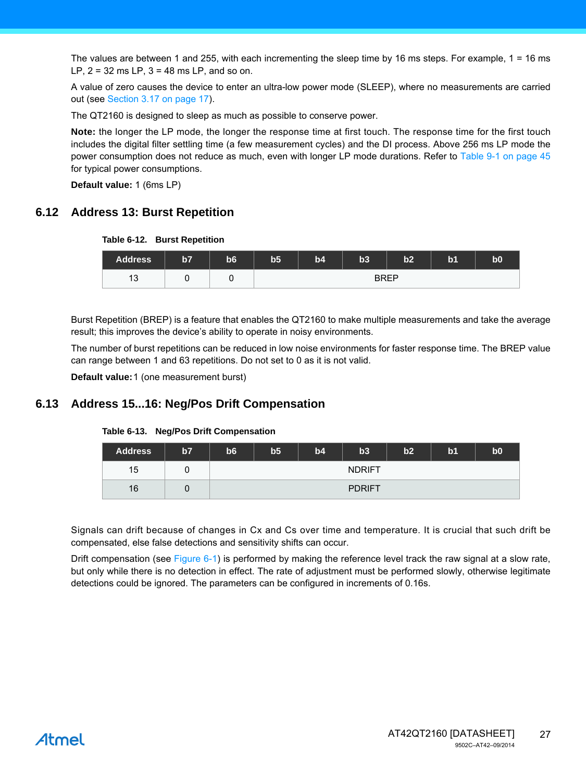The values are between 1 and 255, with each incrementing the sleep time by 16 ms steps. For example, 1 = 16 ms LP,  $2 = 32$  ms LP,  $3 = 48$  ms LP, and so on.

A value of zero causes the device to enter an ultra-low power mode (SLEEP), where no measurements are carried out (see [Section 3.17 on page 17\)](#page-16-0).

The QT2160 is designed to sleep as much as possible to conserve power.

**Note:** the longer the LP mode, the longer the response time at first touch. The response time for the first touch includes the digital filter settling time (a few measurement cycles) and the DI process. Above 256 ms LP mode the power consumption does not reduce as much, even with longer LP mode durations. Refer to Table 9-1 on page 45 for typical power consumptions.

**Default value:** 1 (6ms LP)

## <span id="page-26-0"></span>**6.12 Address 13: Burst Repetition**

|  |  |  | Table 6-12. Burst Repetition |
|--|--|--|------------------------------|
|--|--|--|------------------------------|

| <b>Address</b>        | b7 | b6 | b <sub>5</sub> | b4 | $b3$        | b2 | b <sub>1</sub> | $\bf{b0}$ |
|-----------------------|----|----|----------------|----|-------------|----|----------------|-----------|
| $\triangleleft$<br>13 |    |    |                |    | <b>BREP</b> |    |                |           |

Burst Repetition (BREP) is a feature that enables the QT2160 to make multiple measurements and take the average result; this improves the device's ability to operate in noisy environments.

The number of burst repetitions can be reduced in low noise environments for faster response time. The BREP value can range between 1 and 63 repetitions. Do not set to 0 as it is not valid.

**Default value:**1 (one measurement burst)

## <span id="page-26-1"></span>**6.13 Address 15...16: Neg/Pos Drift Compensation**

| <b>Address</b> | b7 | b <sub>6</sub> | b <sub>5</sub> | b4 | b3            | b2 | b <sub>1</sub> | b0 |
|----------------|----|----------------|----------------|----|---------------|----|----------------|----|
| 15             |    |                |                |    | <b>NDRIFT</b> |    |                |    |
| 16             |    |                |                |    | <b>PDRIFT</b> |    |                |    |

#### **Table 6-13. Neg/Pos Drift Compensation**

Signals can drift because of changes in Cx and Cs over time and temperature. It is crucial that such drift be compensated, else false detections and sensitivity shifts can occur.

Drift compensation (see Figure 6-1) is performed by making the reference level track the raw signal at a slow rate, but only while there is no detection in effect. The rate of adjustment must be performed slowly, otherwise legitimate detections could be ignored. The parameters can be configured in increments of 0.16s.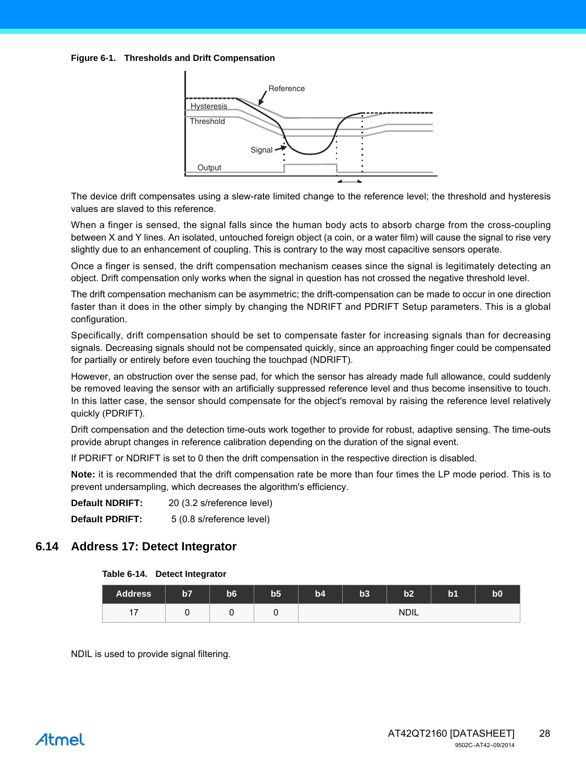#### **Figure 6-1. Thresholds and Drift Compensation**



The device drift compensates using a slew-rate limited change to the reference level; the threshold and hysteresis values are slaved to this reference.

When a finger is sensed, the signal falls since the human body acts to absorb charge from the cross-coupling between X and Y lines. An isolated, untouched foreign object (a coin, or a water film) will cause the signal to rise very slightly due to an enhancement of coupling. This is contrary to the way most capacitive sensors operate.

Once a finger is sensed, the drift compensation mechanism ceases since the signal is legitimately detecting an object. Drift compensation only works when the signal in question has not crossed the negative threshold level.

The drift compensation mechanism can be asymmetric; the drift-compensation can be made to occur in one direction faster than it does in the other simply by changing the NDRIFT and PDRIFT Setup parameters. This is a global configuration.

Specifically, drift compensation should be set to compensate faster for increasing signals than for decreasing signals. Decreasing signals should not be compensated quickly, since an approaching finger could be compensated for partially or entirely before even touching the touchpad (NDRIFT).

However, an obstruction over the sense pad, for which the sensor has already made full allowance, could suddenly be removed leaving the sensor with an artificially suppressed reference level and thus become insensitive to touch. In this latter case, the sensor should compensate for the object's removal by raising the reference level relatively quickly (PDRIFT).

Drift compensation and the detection time-outs work together to provide for robust, adaptive sensing. The time-outs provide abrupt changes in reference calibration depending on the duration of the signal event.

If PDRIFT or NDRIFT is set to 0 then the drift compensation in the respective direction is disabled.

**Note:** it is recommended that the drift compensation rate be more than four times the LP mode period. This is to prevent undersampling, which decreases the algorithm's efficiency.

| <b>Default NDRIFT:</b> | 20 (3.2 s/reference level) |
|------------------------|----------------------------|
| <b>Default PDRIFT:</b> | 5 (0.8 s/reference level)  |

## <span id="page-27-0"></span>**6.14 Address 17: Detect Integrator**

#### **Table 6-14. Detect Integrator**

| <b>Address</b> | b7 | b <sub>6</sub> | b <sub>5</sub> | b4 | b3 | b2          | b <sub>1</sub> | b <sub>0</sub> |
|----------------|----|----------------|----------------|----|----|-------------|----------------|----------------|
| 17<br>. .      |    |                |                |    |    | <b>NDIL</b> |                |                |

NDIL is used to provide signal filtering.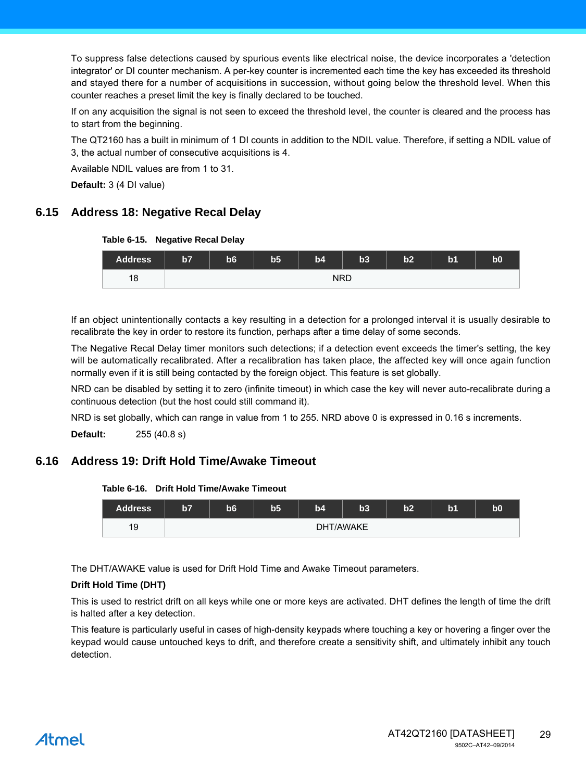To suppress false detections caused by spurious events like electrical noise, the device incorporates a 'detection integrator' or DI counter mechanism. A per-key counter is incremented each time the key has exceeded its threshold and stayed there for a number of acquisitions in succession, without going below the threshold level. When this counter reaches a preset limit the key is finally declared to be touched.

If on any acquisition the signal is not seen to exceed the threshold level, the counter is cleared and the process has to start from the beginning.

The QT2160 has a built in minimum of 1 DI counts in addition to the NDIL value. Therefore, if setting a NDIL value of 3, the actual number of consecutive acquisitions is 4.

Available NDIL values are from 1 to 31.

**Default:** 3 (4 DI value)

## <span id="page-28-0"></span>**6.15 Address 18: Negative Recal Delay**

#### **Table 6-15. Negative Recal Delay**



If an object unintentionally contacts a key resulting in a detection for a prolonged interval it is usually desirable to recalibrate the key in order to restore its function, perhaps after a time delay of some seconds.

The Negative Recal Delay timer monitors such detections; if a detection event exceeds the timer's setting, the key will be automatically recalibrated. After a recalibration has taken place, the affected key will once again function normally even if it is still being contacted by the foreign object. This feature is set globally.

NRD can be disabled by setting it to zero (infinite timeout) in which case the key will never auto-recalibrate during a continuous detection (but the host could still command it).

NRD is set globally, which can range in value from 1 to 255. NRD above 0 is expressed in 0.16 s increments.

**Default:** 255 (40.8 s)

## <span id="page-28-1"></span>**6.16 Address 19: Drift Hold Time/Awake Timeout**

#### **Table 6-16. Drift Hold Time/Awake Timeout**



The DHT/AWAKE value is used for Drift Hold Time and Awake Timeout parameters.

#### **Drift Hold Time (DHT)**

This is used to restrict drift on all keys while one or more keys are activated. DHT defines the length of time the drift is halted after a key detection.

This feature is particularly useful in cases of high-density keypads where touching a key or hovering a finger over the keypad would cause untouched keys to drift, and therefore create a sensitivity shift, and ultimately inhibit any touch detection.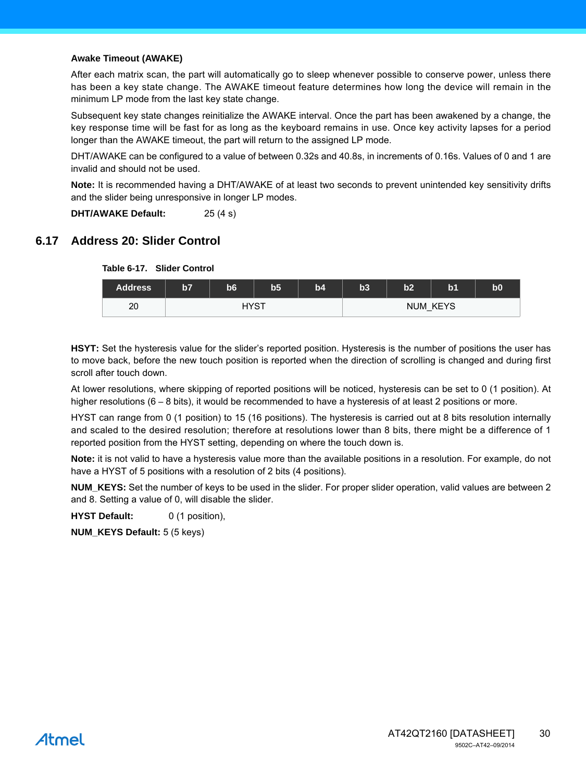#### **Awake Timeout (AWAKE)**

After each matrix scan, the part will automatically go to sleep whenever possible to conserve power, unless there has been a key state change. The AWAKE timeout feature determines how long the device will remain in the minimum LP mode from the last key state change.

Subsequent key state changes reinitialize the AWAKE interval. Once the part has been awakened by a change, the key response time will be fast for as long as the keyboard remains in use. Once key activity lapses for a period longer than the AWAKE timeout, the part will return to the assigned LP mode.

DHT/AWAKE can be configured to a value of between 0.32s and 40.8s, in increments of 0.16s. Values of 0 and 1 are invalid and should not be used.

**Note:** It is recommended having a DHT/AWAKE of at least two seconds to prevent unintended key sensitivity drifts and the slider being unresponsive in longer LP modes.

**DHT/AWAKE Default:** 25 (4 s)

## <span id="page-29-0"></span>**6.17 Address 20: Slider Control**



**HSYT:** Set the hysteresis value for the slider's reported position. Hysteresis is the number of positions the user has to move back, before the new touch position is reported when the direction of scrolling is changed and during first scroll after touch down.

At lower resolutions, where skipping of reported positions will be noticed, hysteresis can be set to 0 (1 position). At higher resolutions (6 – 8 bits), it would be recommended to have a hysteresis of at least 2 positions or more.

HYST can range from 0 (1 position) to 15 (16 positions). The hysteresis is carried out at 8 bits resolution internally and scaled to the desired resolution; therefore at resolutions lower than 8 bits, there might be a difference of 1 reported position from the HYST setting, depending on where the touch down is.

**Note:** it is not valid to have a hysteresis value more than the available positions in a resolution. For example, do not have a HYST of 5 positions with a resolution of 2 bits (4 positions).

**NUM\_KEYS:** Set the number of keys to be used in the slider. For proper slider operation, valid values are between 2 and 8. Setting a value of 0, will disable the slider.

**HYST Default:** 0 (1 position),

**NUM\_KEYS Default:** 5 (5 keys)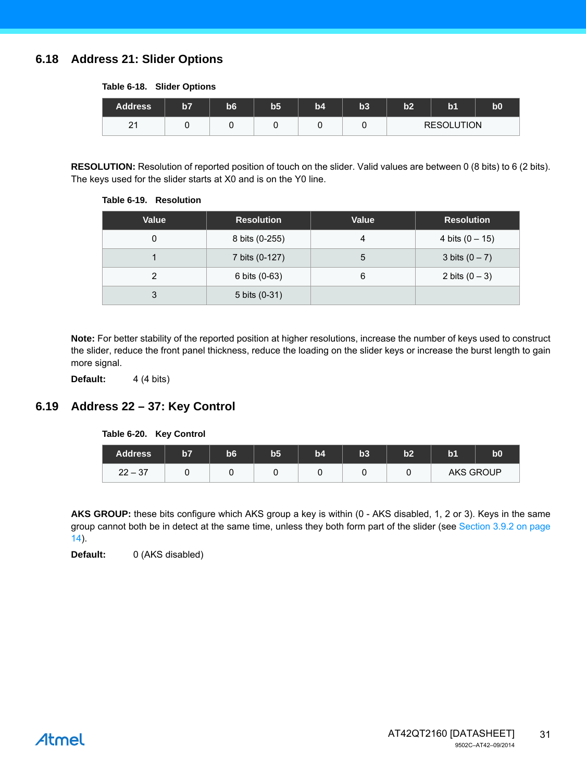## <span id="page-30-0"></span>**6.18 Address 21: Slider Options**

#### **Table 6-18. Slider Options**

| <b>Address</b>     | 157 | b6 | b5 | b4 | b3 | h <sub>2</sub>    | b <sub>1</sub> | b0 |
|--------------------|-----|----|----|----|----|-------------------|----------------|----|
| $\sim$<br><u>L</u> |     |    |    |    |    | <b>RESOLUTION</b> |                |    |

**RESOLUTION:** Resolution of reported position of touch on the slider. Valid values are between 0 (8 bits) to 6 (2 bits). The keys used for the slider starts at X0 and is on the Y0 line.

#### **Table 6-19. Resolution**

| <b>Value</b> | <b>Resolution</b> | <b>Value</b> | <b>Resolution</b> |
|--------------|-------------------|--------------|-------------------|
|              | 8 bits (0-255)    | 4            | 4 bits $(0 - 15)$ |
|              | 7 bits (0-127)    | 5            | 3 bits $(0 - 7)$  |
| າ            | 6 bits (0-63)     | 6            | 2 bits $(0 - 3)$  |
| 3            | 5 bits (0-31)     |              |                   |

**Note:** For better stability of the reported position at higher resolutions, increase the number of keys used to construct the slider, reduce the front panel thickness, reduce the loading on the slider keys or increase the burst length to gain more signal.

**Default:** 4 (4 bits)

## <span id="page-30-1"></span>**6.19 Address 22 – 37: Key Control**

#### **Table 6-20. Key Control**

| <b>Address</b> | b7 | b6 | b <sub>5</sub> | b4 | b3 | b2 | b <sub>1</sub>   | b0 |
|----------------|----|----|----------------|----|----|----|------------------|----|
| $22 - 37$      |    |    |                |    |    |    | <b>AKS GROUP</b> |    |

AKS GROUP: these bits configure which AKS group a key is within (0 - AKS disabled, 1, 2 or 3). Keys in the same group cannot both be in detect at the same time, unless they both form part of the slider (see [Section 3.9.2 on page](#page-13-0) [14\)](#page-13-0).

**Default:** 0 (AKS disabled)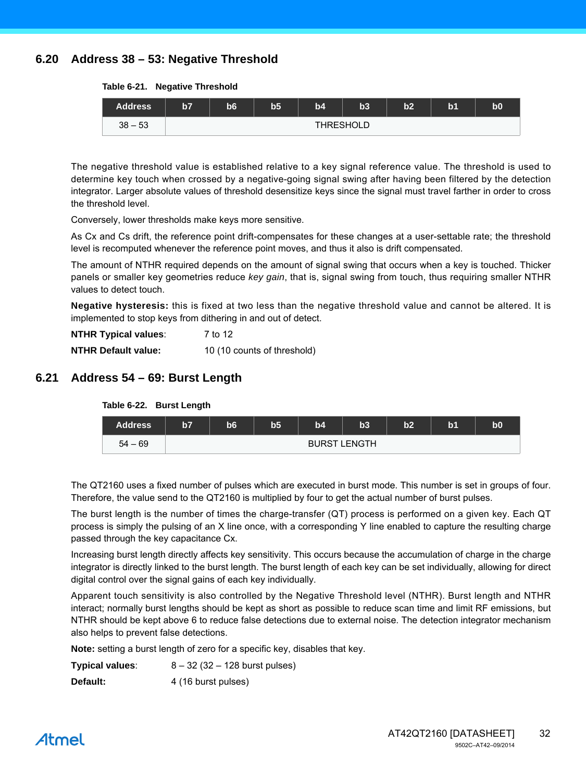## <span id="page-31-0"></span>**6.20 Address 38 – 53: Negative Threshold**

**Table 6-21. Negative Threshold**

| <b>Address</b> | $\overline{57}$  | 56 | b5 | b4 | <b>b3</b> | b2 | b1 | b0 |  |
|----------------|------------------|----|----|----|-----------|----|----|----|--|
| $38 - 53$      | <b>THRESHOLD</b> |    |    |    |           |    |    |    |  |

The negative threshold value is established relative to a key signal reference value. The threshold is used to determine key touch when crossed by a negative-going signal swing after having been filtered by the detection integrator. Larger absolute values of threshold desensitize keys since the signal must travel farther in order to cross the threshold level.

Conversely, lower thresholds make keys more sensitive.

As Cx and Cs drift, the reference point drift-compensates for these changes at a user-settable rate; the threshold level is recomputed whenever the reference point moves, and thus it also is drift compensated.

The amount of NTHR required depends on the amount of signal swing that occurs when a key is touched. Thicker panels or smaller key geometries reduce *key gain*, that is, signal swing from touch, thus requiring smaller NTHR values to detect touch.

**Negative hysteresis:** this is fixed at two less than the negative threshold value and cannot be altered. It is implemented to stop keys from dithering in and out of detect.

| <b>NTHR Typical values:</b> | 7 to 12                     |
|-----------------------------|-----------------------------|
| <b>NTHR Default value:</b>  | 10 (10 counts of threshold) |

## <span id="page-31-1"></span>**6.21 Address 54 – 69: Burst Length**



The QT2160 uses a fixed number of pulses which are executed in burst mode. This number is set in groups of four. Therefore, the value send to the QT2160 is multiplied by four to get the actual number of burst pulses.

The burst length is the number of times the charge-transfer (QT) process is performed on a given key. Each QT process is simply the pulsing of an X line once, with a corresponding Y line enabled to capture the resulting charge passed through the key capacitance Cx.

Increasing burst length directly affects key sensitivity. This occurs because the accumulation of charge in the charge integrator is directly linked to the burst length. The burst length of each key can be set individually, allowing for direct digital control over the signal gains of each key individually.

Apparent touch sensitivity is also controlled by the Negative Threshold level (NTHR). Burst length and NTHR interact; normally burst lengths should be kept as short as possible to reduce scan time and limit RF emissions, but NTHR should be kept above 6 to reduce false detections due to external noise. The detection integrator mechanism also helps to prevent false detections.

**Note:** setting a burst length of zero for a specific key, disables that key.

| Typical values: | $8 - 32$ (32 $- 128$ burst pulses) |
|-----------------|------------------------------------|
|                 |                                    |

**Default:** 4 (16 burst pulses)

## Atmel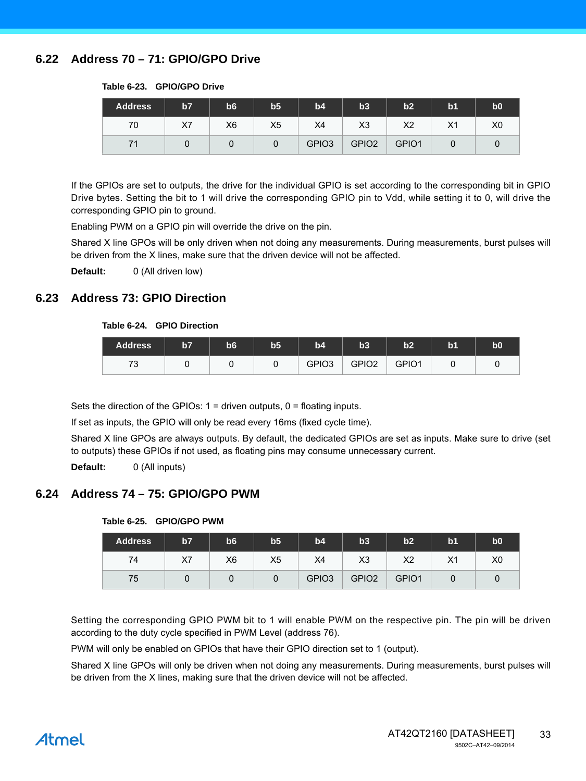## <span id="page-32-0"></span>**6.22 Address 70 – 71: GPIO/GPO Drive**

| <b>Address</b> | b7 | b6             | b <sub>5</sub> | b4                | b3                | b2    | b <sub>1</sub> | b <sub>0</sub> |
|----------------|----|----------------|----------------|-------------------|-------------------|-------|----------------|----------------|
| 70             | X7 | X <sub>6</sub> | X5             | X4                | X <sub>3</sub>    | X2    | X1             | X0             |
| 71             |    |                | 0              | GPIO <sub>3</sub> | GPIO <sub>2</sub> | GPIO1 |                |                |

#### **Table 6-23. GPIO/GPO Drive**

If the GPIOs are set to outputs, the drive for the individual GPIO is set according to the corresponding bit in GPIO Drive bytes. Setting the bit to 1 will drive the corresponding GPIO pin to Vdd, while setting it to 0, will drive the corresponding GPIO pin to ground.

Enabling PWM on a GPIO pin will override the drive on the pin.

Shared X line GPOs will be only driven when not doing any measurements. During measurements, burst pulses will be driven from the X lines, make sure that the driven device will not be affected.

**Default:** 0 (All driven low)

## <span id="page-32-1"></span>**6.23 Address 73: GPIO Direction**

#### **Table 6-24. GPIO Direction**

| <b>Address</b>                 | $\overline{57}$ | b <sub>6</sub> | $\mathbf{b}5$ | b4                | b3                | b2    | b <sub>1</sub> | <b>b0</b> |
|--------------------------------|-----------------|----------------|---------------|-------------------|-------------------|-------|----------------|-----------|
| $\overline{\phantom{a}}$<br>ັບ |                 |                |               | GPIO <sub>3</sub> | GPIO <sub>2</sub> | GPIO1 |                |           |

Sets the direction of the GPIOs:  $1 =$  driven outputs,  $0 =$  floating inputs.

If set as inputs, the GPIO will only be read every 16ms (fixed cycle time).

Shared X line GPOs are always outputs. By default, the dedicated GPIOs are set as inputs. Make sure to drive (set to outputs) these GPIOs if not used, as floating pins may consume unnecessary current.

**Default:** 0 (All inputs)

## <span id="page-32-2"></span>**6.24 Address 74 – 75: GPIO/GPO PWM**

| <b>Address</b> | b7 | b <sub>6</sub> | b <sub>5</sub> | b4                | b3                | b2             | b <sub>1</sub> | b0 |
|----------------|----|----------------|----------------|-------------------|-------------------|----------------|----------------|----|
| 74             | X7 | X6             | X5             | X4                | X <sub>3</sub>    | X <sub>2</sub> | X <sub>1</sub> | X0 |
| 75             |    |                | 0              | GPIO <sub>3</sub> | GPIO <sub>2</sub> | GPIO1          |                |    |

#### **Table 6-25. GPIO/GPO PWM**

Setting the corresponding GPIO PWM bit to 1 will enable PWM on the respective pin. The pin will be driven according to the duty cycle specified in PWM Level (address 76).

PWM will only be enabled on GPIOs that have their GPIO direction set to 1 (output).

Shared X line GPOs will only be driven when not doing any measurements. During measurements, burst pulses will be driven from the X lines, making sure that the driven device will not be affected.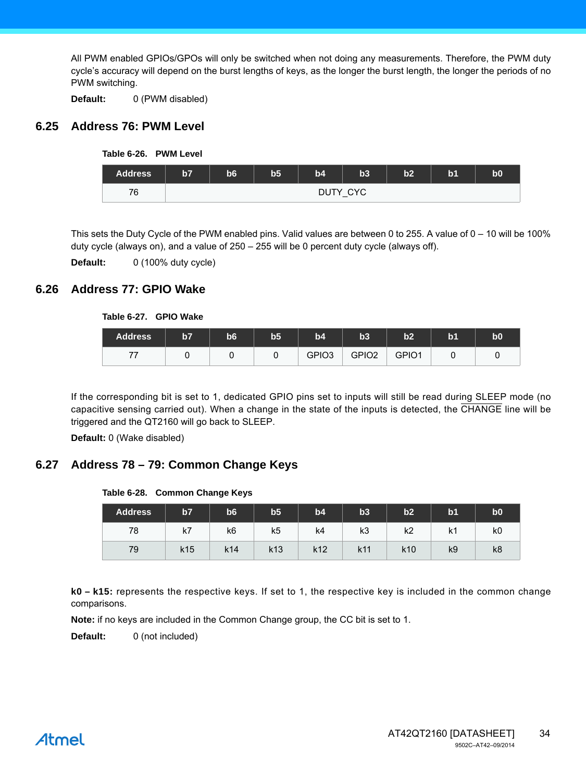All PWM enabled GPIOs/GPOs will only be switched when not doing any measurements. Therefore, the PWM duty cycle's accuracy will depend on the burst lengths of keys, as the longer the burst length, the longer the periods of no PWM switching.

**Default:** 0 (PWM disabled)

## <span id="page-33-1"></span>**6.25 Address 76: PWM Level**



| <b>Address</b> | b7 | b6 | b <sub>5</sub> | b4 | b3            | b2 | b1 | b <sub>0</sub> |
|----------------|----|----|----------------|----|---------------|----|----|----------------|
| 76             |    |    |                |    | DUTY CYC<br>_ |    |    |                |

This sets the Duty Cycle of the PWM enabled pins. Valid values are between 0 to 255. A value of  $0 - 10$  will be 100% duty cycle (always on), and a value of 250 – 255 will be 0 percent duty cycle (always off).

**Default:** 0 (100% duty cycle)

## <span id="page-33-2"></span>**6.26 Address 77: GPIO Wake**

#### **Table 6-27. GPIO Wake**

| <b>Address</b> | b7 | b6 | b5 | b4                | b3                | b2    | b1 | b0 |
|----------------|----|----|----|-------------------|-------------------|-------|----|----|
| 77             |    |    |    | GPIO <sub>3</sub> | GPIO <sub>2</sub> | GPIO1 |    |    |

If the corresponding bit is set to 1, dedicated GPIO pins set to inputs will still be read during SLEEP mode (no capacitive sensing carried out). When a change in the state of the inputs is detected, the CHANGE line will be triggered and the QT2160 will go back to SLEEP.

**Default:** 0 (Wake disabled)

## <span id="page-33-0"></span>**6.27 Address 78 – 79: Common Change Keys**

#### **Table 6-28. Common Change Keys**

| <b>Address</b> | 157             | <b>b6</b>       | b <sub>5</sub>  | b4              | b3  | b2       | b <sub>1</sub> | b <sub>0</sub> |
|----------------|-----------------|-----------------|-----------------|-----------------|-----|----------|----------------|----------------|
| 78             | k7              | k6              | k5              | k4              | k3  | レク<br>N4 | k1             | k0             |
| 79             | k <sub>15</sub> | k <sub>14</sub> | k <sub>13</sub> | k <sub>12</sub> | k11 | k10      | k9             | k8             |

**k0 – k15:** represents the respective keys. If set to 1, the respective key is included in the common change comparisons.

**Note:** if no keys are included in the Common Change group, the CC bit is set to 1.

**Default:** 0 (not included)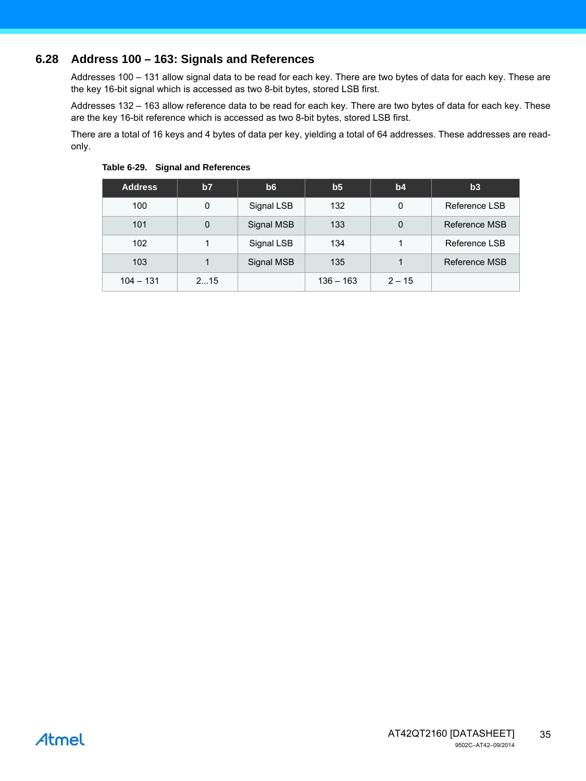## **6.28 Address 100 – 163: Signals and References**

Addresses 100 – 131 allow signal data to be read for each key. There are two bytes of data for each key. These are the key 16-bit signal which is accessed as two 8-bit bytes, stored LSB first.

Addresses 132 – 163 allow reference data to be read for each key. There are two bytes of data for each key. These are the key 16-bit reference which is accessed as two 8-bit bytes, stored LSB first.

There are a total of 16 keys and 4 bytes of data per key, yielding a total of 64 addresses. These addresses are readonly.

| <b>Address</b> | b7          | b6         | b <sub>5</sub> | b4       | b3            |
|----------------|-------------|------------|----------------|----------|---------------|
| 100            | 0           | Signal LSB | 132            | 0        | Reference LSB |
| 101            | $\mathbf 0$ | Signal MSB | 133            | $\Omega$ | Reference MSB |
| 102            | 1           | Signal LSB | 134            |          | Reference LSB |
| 103            |             | Signal MSB | 135            |          | Reference MSB |
| $104 - 131$    | 215         |            | $136 - 163$    | $2 - 15$ |               |

**Table 6-29. Signal and References**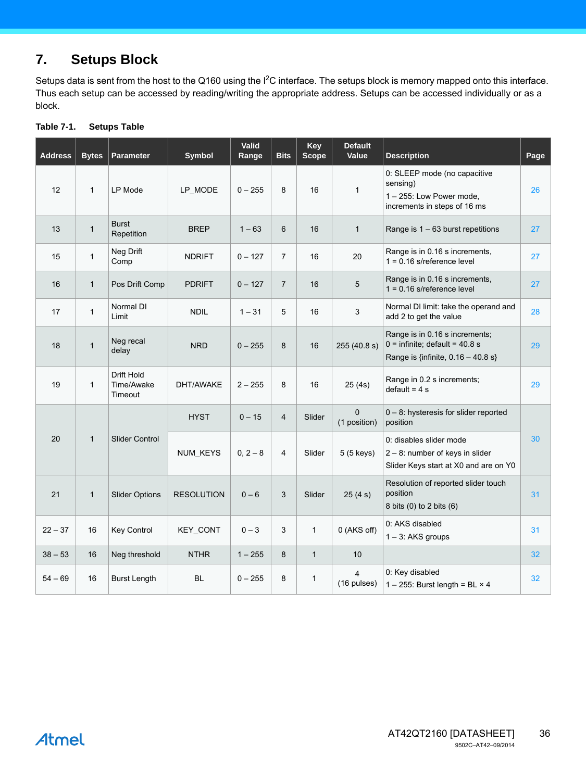## **7. Setups Block**

Setups data is sent from the host to the Q160 using the  $I^2C$  interface. The setups block is memory mapped onto this interface. Thus each setup can be accessed by reading/writing the appropriate address. Setups can be accessed individually or as a block.

| <b>Address</b> | <b>Bytes</b> | <b>Parameter</b>                    | <b>Symbol</b>     | Valid<br>Range | <b>Bits</b>    | Key<br><b>Scope</b> | <b>Default</b><br>Value       | <b>Description</b>                                                                                         | Page |
|----------------|--------------|-------------------------------------|-------------------|----------------|----------------|---------------------|-------------------------------|------------------------------------------------------------------------------------------------------------|------|
| 12             | $\mathbf{1}$ | <b>LP Mode</b>                      | LP_MODE           | $0 - 255$      | 8              | 16                  | $\mathbf{1}$                  | 0: SLEEP mode (no capacitive<br>sensing)<br>1-255: Low Power mode,<br>increments in steps of 16 ms         | 26   |
| 13             | $\mathbf{1}$ | <b>Burst</b><br>Repetition          | <b>BREP</b>       | $1 - 63$       | 6              | 16                  | $\mathbf{1}$                  | Range is $1 - 63$ burst repetitions                                                                        | 27   |
| 15             | $\mathbf{1}$ | Neg Drift<br>Comp                   | <b>NDRIFT</b>     | $0 - 127$      | $\overline{7}$ | 16                  | 20                            | Range is in 0.16 s increments,<br>$1 = 0.16$ s/reference level                                             | 27   |
| 16             | $\mathbf{1}$ | Pos Drift Comp                      | <b>PDRIFT</b>     | $0 - 127$      | $\overline{7}$ | 16                  | 5                             | Range is in 0.16 s increments,<br>$1 = 0.16$ s/reference level                                             | 27   |
| 17             | $\mathbf{1}$ | Normal DI<br>Limit                  | <b>NDIL</b>       | $1 - 31$       | 5              | 16                  | 3                             | Normal DI limit: take the operand and<br>add 2 to get the value                                            | 28   |
| 18             | $\mathbf{1}$ | Neg recal<br>delay                  | <b>NRD</b>        | $0 - 255$      | 8              | 16                  | 255 (40.8 s)                  | Range is in 0.16 s increments;<br>$0 =$ infinite; default = 40.8 s<br>Range is {infinite, $0.16 - 40.8$ s} | 29   |
| 19             | $\mathbf{1}$ | Drift Hold<br>Time/Awake<br>Timeout | DHT/AWAKE         | $2 - 255$      | 8              | 16                  | 25(4s)                        | Range in 0.2 s increments;<br>$default = 4 s$                                                              | 29   |
|                |              |                                     | <b>HYST</b>       | $0 - 15$       | $\overline{4}$ | Slider              | $\Omega$<br>(1 position)      | $0 - 8$ : hysteresis for slider reported<br>position                                                       |      |
| 20             | $\mathbf{1}$ | Slider Control                      | NUM_KEYS          | $0, 2 - 8$     | 4              | Slider              | 5 (5 keys)                    | 0: disables slider mode<br>2 - 8: number of keys in slider<br>Slider Keys start at X0 and are on Y0        | 30   |
| 21             | $\mathbf{1}$ | <b>Slider Options</b>               | <b>RESOLUTION</b> | $0 - 6$        | 3              | Slider              | 25(4 s)                       | Resolution of reported slider touch<br>position<br>8 bits (0) to 2 bits (6)                                | 31   |
| $22 - 37$      | 16           | <b>Key Control</b>                  | KEY_CONT          | $0 - 3$        | 3              | $\mathbf{1}$        | 0 (AKS off)                   | 0: AKS disabled<br>$1 - 3$ : AKS groups                                                                    | 31   |
| $38 - 53$      | 16           | Neg threshold                       | <b>NTHR</b>       | $1 - 255$      | 8              | $\mathbf{1}$        | 10                            |                                                                                                            | 32   |
| $54 - 69$      | 16           | <b>Burst Length</b>                 | <b>BL</b>         | $0 - 255$      | 8              | $\mathbf{1}$        | $\overline{4}$<br>(16 pulses) | 0: Key disabled<br>1 - 255: Burst length = BL $\times$ 4                                                   | 32   |

#### <span id="page-35-0"></span>**Table 7-1. Setups Table**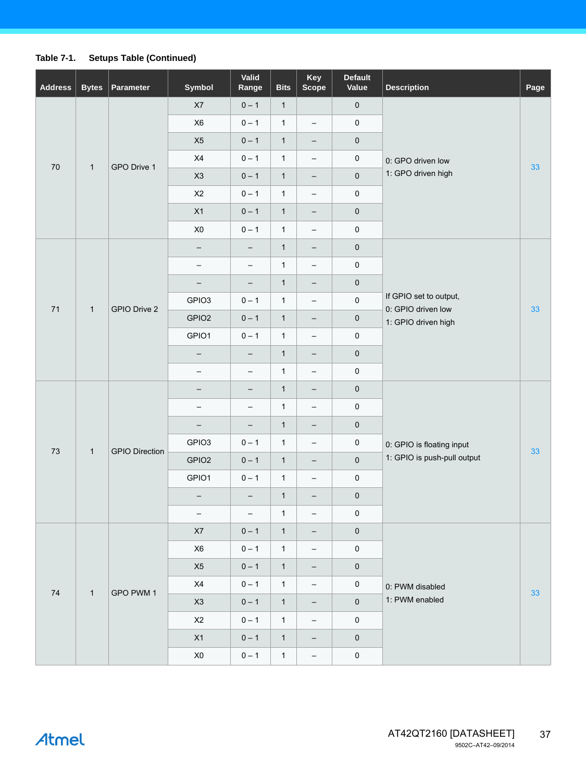## **Table 7-1. Setups Table (Continued)**

| <b>Address</b> | <b>Bytes</b> | Parameter             | Symbol                     | Valid<br>Range           | <b>Bits</b>  | Key<br><b>Scope</b>      | <b>Default</b><br>Value | <b>Description</b>                                                  | Page |
|----------------|--------------|-----------------------|----------------------------|--------------------------|--------------|--------------------------|-------------------------|---------------------------------------------------------------------|------|
|                |              |                       | X7                         | $0 - 1$                  | $\mathbf{1}$ |                          | $\mathbf 0$             |                                                                     |      |
|                |              |                       | X <sub>6</sub>             | $0 - 1$                  | $\mathbf{1}$ | $\qquad \qquad -$        | $\pmb{0}$               |                                                                     |      |
|                |              |                       | X5                         | $0 - 1$                  | $\mathbf{1}$ | $\overline{\phantom{a}}$ | $\pmb{0}$               |                                                                     |      |
| 70             |              | GPO Drive 1           | X4                         | $0 - 1$                  | $\mathbf{1}$ | $\qquad \qquad -$        | $\pmb{0}$               | 0: GPO driven low                                                   | 33   |
|                | $\mathbf{1}$ |                       | X3                         | $0 - 1$                  | $\mathbf{1}$ | $\overline{\phantom{a}}$ | $\pmb{0}$               | 1: GPO driven high                                                  |      |
|                |              |                       | X2                         | $0 - 1$                  | $\mathbf{1}$ | $\qquad \qquad -$        | $\pmb{0}$               |                                                                     |      |
|                |              |                       | X1                         | $0 - 1$                  | $\mathbf{1}$ | $\qquad \qquad -$        | $\pmb{0}$               |                                                                     |      |
|                |              |                       | $\boldsymbol{\mathsf{X}}0$ | $0 - 1$                  | $\mathbf{1}$ | $\qquad \qquad -$        | $\pmb{0}$               |                                                                     |      |
|                |              |                       | -                          | $\qquad \qquad -$        | $\mathbf{1}$ | $\overline{\phantom{a}}$ | $\pmb{0}$               |                                                                     |      |
|                |              |                       | $\qquad \qquad$            | $\overline{\phantom{a}}$ | $\mathbf{1}$ | $\qquad \qquad -$        | $\pmb{0}$               |                                                                     |      |
|                |              |                       | -                          | $\qquad \qquad -$        | $\mathbf{1}$ | $\overline{\phantom{a}}$ | $\pmb{0}$               |                                                                     | 33   |
| 71             | $\mathbf{1}$ | GPIO Drive 2          | GPIO3                      | $0 - 1$                  | $\mathbf{1}$ | $\qquad \qquad -$        | $\pmb{0}$               | If GPIO set to output,<br>0: GPIO driven low<br>1: GPIO driven high |      |
|                |              |                       | GPIO <sub>2</sub>          | $0 - 1$                  | $\mathbf{1}$ | $\qquad \qquad -$        | $\pmb{0}$               |                                                                     |      |
|                |              |                       | GPIO1                      | $0 - 1$                  | $\mathbf{1}$ | $\qquad \qquad -$        | $\pmb{0}$               |                                                                     |      |
|                |              |                       | -                          | $\qquad \qquad -$        | $\mathbf{1}$ | $\qquad \qquad -$        | $\pmb{0}$               |                                                                     |      |
|                |              |                       | $\overline{\phantom{0}}$   | $\qquad \qquad -$        | $\mathbf{1}$ | $\overline{\phantom{m}}$ | $\pmb{0}$               |                                                                     |      |
|                |              | <b>GPIO Direction</b> | —                          | $\qquad \qquad -$        | $\mathbf{1}$ | $\qquad \qquad -$        | $\pmb{0}$               |                                                                     |      |
|                |              |                       | $\qquad \qquad$            | $\qquad \qquad -$        | $\mathbf{1}$ | $\overline{\phantom{m}}$ | $\pmb{0}$               | 0: GPIO is floating input<br>1: GPIO is push-pull output            | 33   |
|                |              |                       | -                          | $\qquad \qquad -$        | $\mathbf{1}$ | $\overline{\phantom{a}}$ | $\pmb{0}$               |                                                                     |      |
| 73             | $\mathbf{1}$ |                       | GPIO3                      | $0 - 1$                  | $\mathbf{1}$ | $\qquad \qquad -$        | 0                       |                                                                     |      |
|                |              |                       | GPIO <sub>2</sub>          | $0 - 1$                  | $\mathbf{1}$ | $\qquad \qquad -$        | $\pmb{0}$               |                                                                     |      |
|                |              |                       | GPIO1                      | $0 - 1$                  | $\mathbf{1}$ | $\qquad \qquad -$        | $\pmb{0}$               |                                                                     |      |
|                |              |                       | —                          | -                        | $\mathbf{1}$ | -                        | $\pmb{0}$               |                                                                     |      |
|                |              |                       | $\qquad \qquad -$          | $\overline{\phantom{a}}$ | $\mathbf{1}$ | -                        | 0                       |                                                                     |      |
|                |              |                       | X7                         | $0 - 1$                  | $\mathbf{1}$ | -                        | $\pmb{0}$               |                                                                     |      |
|                |              |                       | X6                         | $0 - 1$                  | $\mathbf{1}$ | $\qquad \qquad -$        | $\pmb{0}$               |                                                                     |      |
|                |              |                       | X5                         | $0 - 1$                  | $\mathbf{1}$ | -                        | $\pmb{0}$               |                                                                     |      |
| ${\bf 74}$     | $\mathbf{1}$ | GPO PWM 1             | X4                         | $0 - 1$                  | $\mathbf{1}$ | $\qquad \qquad -$        | $\pmb{0}$               | 0: PWM disabled                                                     | 33   |
|                |              |                       | X3                         | $0 - 1$                  | $\mathbf{1}$ | -                        | $\pmb{0}$               | 1: PWM enabled                                                      |      |
|                |              |                       | X2                         | $0 - 1$                  | $\mathbf{1}$ | $\qquad \qquad -$        | $\pmb{0}$               |                                                                     |      |
|                |              |                       | $\boldsymbol{X1}$          | $0 - 1$                  | $\mathbf{1}$ | -                        | $\pmb{0}$               |                                                                     |      |
|                |              |                       | $\pmb{\mathsf{X0}}$        | $0 - 1$                  | $\mathbf{1}$ | $\overline{\phantom{m}}$ | $\pmb{0}$               |                                                                     |      |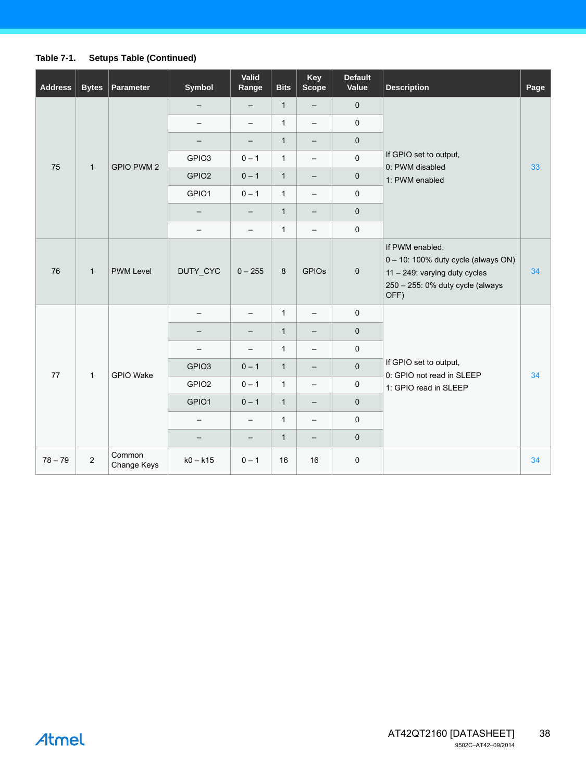## **Table 7-1. Setups Table (Continued)**

| <b>Address</b> | <b>Bytes</b>   | <b>Parameter</b>      | Symbol                   | Valid<br>Range           | <b>Bits</b>  | Key<br><b>Scope</b>      | <b>Default</b><br>Value | <b>Description</b>                                                                                                                  | Page |
|----------------|----------------|-----------------------|--------------------------|--------------------------|--------------|--------------------------|-------------------------|-------------------------------------------------------------------------------------------------------------------------------------|------|
|                |                |                       |                          | $\qquad \qquad -$        | $\mathbf{1}$ | $\overline{\phantom{a}}$ | $\mathsf{O}\xspace$     |                                                                                                                                     |      |
|                |                |                       | $\qquad \qquad -$        | $\qquad \qquad -$        | 1            | $\overline{\phantom{a}}$ | $\mathsf{O}\xspace$     |                                                                                                                                     |      |
|                |                |                       |                          | $\overline{\phantom{m}}$ | 1            | $\overline{\phantom{m}}$ | $\mathsf{O}\xspace$     |                                                                                                                                     |      |
| 75             | $\mathbf{1}$   | <b>GPIO PWM 2</b>     | GPIO <sub>3</sub>        | $0 - 1$                  | 1            | $\overline{\phantom{m}}$ | $\mathsf{O}\xspace$     | If GPIO set to output,<br>0: PWM disabled                                                                                           | 33   |
|                |                |                       | GPIO <sub>2</sub>        | $0 - 1$                  | $\mathbf{1}$ | $\qquad \qquad -$        | $\mathbf 0$             | 1: PWM enabled                                                                                                                      |      |
|                |                |                       | GPIO1                    | $0 - 1$                  | 1            | $\overline{\phantom{m}}$ | $\mathsf{O}\xspace$     |                                                                                                                                     |      |
|                |                |                       | $\overline{\phantom{m}}$ | $\qquad \qquad -$        | $\mathbf{1}$ | $\overline{\phantom{a}}$ | $\mathsf{O}\xspace$     |                                                                                                                                     |      |
|                |                |                       | $\overline{\phantom{a}}$ | $\overline{\phantom{0}}$ | 1            | $\overline{\phantom{m}}$ | $\mathsf 0$             |                                                                                                                                     |      |
| 76             | $\mathbf{1}$   | <b>PWM Level</b>      | DUTY_CYC                 | $0 - 255$                | 8            | <b>GPIOs</b>             | $\mathbf 0$             | If PWM enabled,<br>0 - 10: 100% duty cycle (always ON)<br>11 - 249: varying duty cycles<br>250 - 255: 0% duty cycle (always<br>OFF) | 34   |
|                |                |                       |                          | $\qquad \qquad -$        | $\mathbf{1}$ | $\overline{\phantom{m}}$ | $\mathsf{O}\xspace$     |                                                                                                                                     |      |
|                |                |                       | $\qquad \qquad -$        | $\qquad \qquad -$        | 1            | $\overline{\phantom{m}}$ | $\mathsf{O}\xspace$     |                                                                                                                                     |      |
|                |                |                       |                          | $\overline{\phantom{m}}$ | 1            | $\overline{\phantom{m}}$ | $\mathsf{O}\xspace$     |                                                                                                                                     |      |
| 77             | $\mathbf{1}$   | <b>GPIO Wake</b>      | GPIO <sub>3</sub>        | $0 - 1$                  | $\mathbf{1}$ | $\overline{\phantom{m}}$ | $\mathbf 0$             | If GPIO set to output,<br>0: GPIO not read in SLEEP                                                                                 | 34   |
|                |                |                       | GPIO <sub>2</sub>        | $0 - 1$                  | $\mathbf{1}$ | $\overline{\phantom{0}}$ | $\mathbf 0$             | 1: GPIO read in SLEEP                                                                                                               |      |
|                |                |                       | GPIO1                    | $0 - 1$                  | $\mathbf{1}$ | $\overline{\phantom{a}}$ | $\mathbf 0$             |                                                                                                                                     |      |
|                |                |                       | $\overline{\phantom{m}}$ | $\overline{\phantom{0}}$ | 1            | $\overline{\phantom{m}}$ | $\mathsf{O}\xspace$     |                                                                                                                                     |      |
|                |                |                       |                          | $\qquad \qquad -$        | $\mathbf{1}$ | $\overline{\phantom{m}}$ | $\pmb{0}$               |                                                                                                                                     |      |
| $78 - 79$      | $\overline{2}$ | Common<br>Change Keys | $k0 - k15$               | $0 - 1$                  | 16           | 16                       | $\mathsf 0$             |                                                                                                                                     | 34   |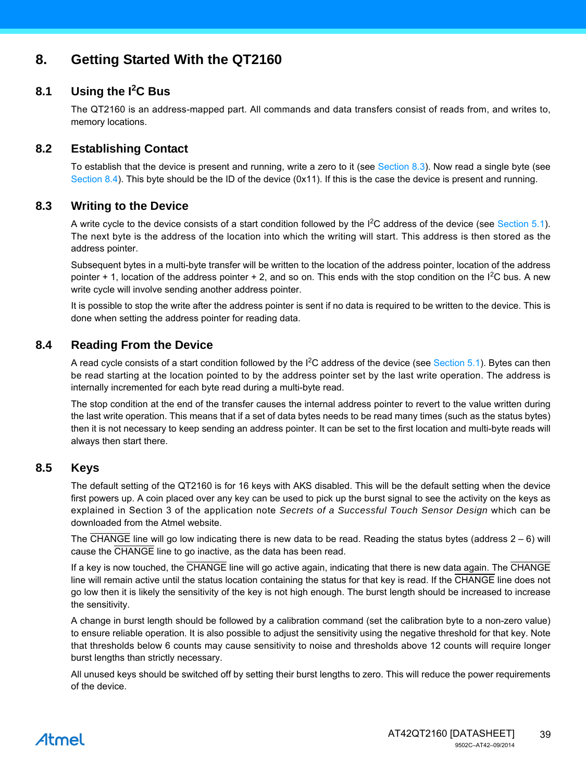## **8. Getting Started With the QT2160**

## **8.1 Using the I<sup>2</sup> C Bus**

The QT2160 is an address-mapped part. All commands and data transfers consist of reads from, and writes to, memory locations.

## **8.2 Establishing Contact**

To establish that the device is present and running, write a zero to it (see [Section 8.3\)](#page-38-0). Now read a single byte (see [Section 8.4\)](#page-38-1). This byte should be the ID of the device (0x11). If this is the case the device is present and running.

## <span id="page-38-0"></span>**8.3 Writing to the Device**

A write cycle to the device consists of a start condition followed by the  $I^2C$  address of the device (see [Section 5.1](#page-20-1)). The next byte is the address of the location into which the writing will start. This address is then stored as the address pointer.

Subsequent bytes in a multi-byte transfer will be written to the location of the address pointer, location of the address pointer + 1, location of the address pointer + 2, and so on. This ends with the stop condition on the I<sup>2</sup>C bus. A new write cycle will involve sending another address pointer.

It is possible to stop the write after the address pointer is sent if no data is required to be written to the device. This is done when setting the address pointer for reading data.

## <span id="page-38-1"></span>**8.4 Reading From the Device**

A read cycle consists of a start condition followed by the I<sup>2</sup>C address of the device (see [Section 5.1\)](#page-20-1). Bytes can then be read starting at the location pointed to by the address pointer set by the last write operation. The address is internally incremented for each byte read during a multi-byte read.

The stop condition at the end of the transfer causes the internal address pointer to revert to the value written during the last write operation. This means that if a set of data bytes needs to be read many times (such as the status bytes) then it is not necessary to keep sending an address pointer. It can be set to the first location and multi-byte reads will always then start there.

## **8.5 Keys**

The default setting of the QT2160 is for 16 keys with AKS disabled. This will be the default setting when the device first powers up. A coin placed over any key can be used to pick up the burst signal to see the activity on the keys as explained in Section 3 of the application note *Secrets of a Successful Touch Sensor Design* which can be downloaded from the Atmel website.

The CHANGE line will go low indicating there is new data to be read. Reading the status bytes (address  $2 - 6$ ) will cause the CHANGE line to go inactive, as the data has been read.

If a key is now touched, the CHANGE line will go active again, indicating that there is new data again. The CHANGE line will remain active until the status location containing the status for that key is read. If the CHANGE line does not go low then it is likely the sensitivity of the key is not high enough. The burst length should be increased to increase the sensitivity.

A change in burst length should be followed by a calibration command (set the calibration byte to a non-zero value) to ensure reliable operation. It is also possible to adjust the sensitivity using the negative threshold for that key. Note that thresholds below 6 counts may cause sensitivity to noise and thresholds above 12 counts will require longer burst lengths than strictly necessary.

All unused keys should be switched off by setting their burst lengths to zero. This will reduce the power requirements of the device.

## Atmel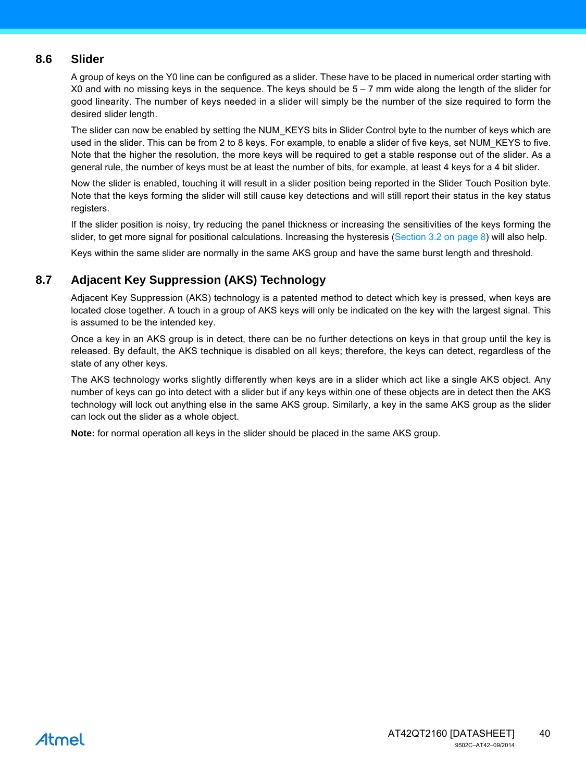## **8.6 Slider**

A group of keys on the Y0 line can be configured as a slider. These have to be placed in numerical order starting with X0 and with no missing keys in the sequence. The keys should be  $5 - 7$  mm wide along the length of the slider for good linearity. The number of keys needed in a slider will simply be the number of the size required to form the desired slider length.

The slider can now be enabled by setting the NUM\_KEYS bits in Slider Control byte to the number of keys which are used in the slider. This can be from 2 to 8 keys. For example, to enable a slider of five keys, set NUM\_KEYS to five. Note that the higher the resolution, the more keys will be required to get a stable response out of the slider. As a general rule, the number of keys must be at least the number of bits, for example, at least 4 keys for a 4 bit slider.

Now the slider is enabled, touching it will result in a slider position being reported in the Slider Touch Position byte. Note that the keys forming the slider will still cause key detections and will still report their status in the key status registers.

If the slider position is noisy, try reducing the panel thickness or increasing the sensitivities of the keys forming the slider, to get more signal for positional calculations. Increasing the hysteresis (Section 3.2 on page  $8$ ) will also help.

Keys within the same slider are normally in the same AKS group and have the same burst length and threshold.

## **8.7 Adjacent Key Suppression (AKS) Technology**

Adjacent Key Suppression (AKS) technology is a patented method to detect which key is pressed, when keys are located close together. A touch in a group of AKS keys will only be indicated on the key with the largest signal. This is assumed to be the intended key.

Once a key in an AKS group is in detect, there can be no further detections on keys in that group until the key is released. By default, the AKS technique is disabled on all keys; therefore, the keys can detect, regardless of the state of any other keys.

The AKS technology works slightly differently when keys are in a slider which act like a single AKS object. Any number of keys can go into detect with a slider but if any keys within one of these objects are in detect then the AKS technology will lock out anything else in the same AKS group. Similarly, a key in the same AKS group as the slider can lock out the slider as a whole object.

**Note:** for normal operation all keys in the slider should be placed in the same AKS group.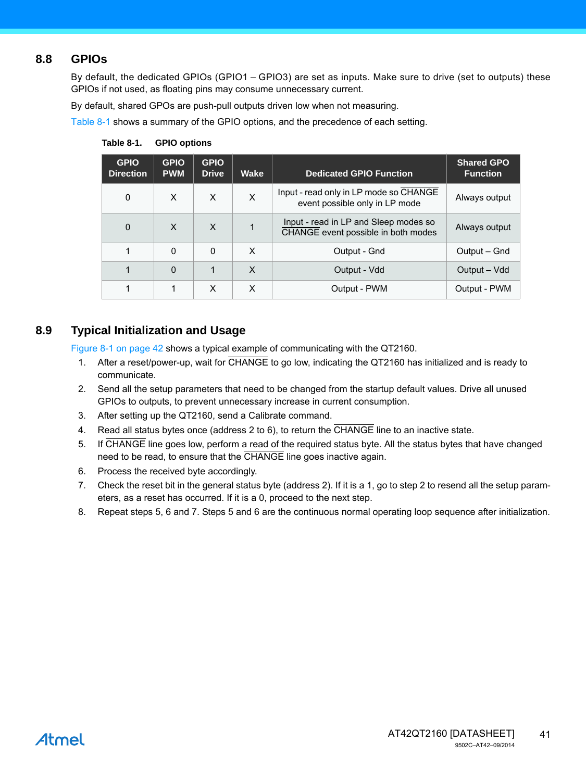## **8.8 GPIOs**

By default, the dedicated GPIOs (GPIO1 – GPIO3) are set as inputs. Make sure to drive (set to outputs) these GPIOs if not used, as floating pins may consume unnecessary current.

By default, shared GPOs are push-pull outputs driven low when not measuring.

[Table 8-1](#page-40-0) shows a summary of the GPIO options, and the precedence of each setting.

| <b>GPIO</b><br><b>Direction</b> | <b>GPIO</b><br><b>PWM</b> | <b>GPIO</b><br><b>Drive</b> | Wake | <b>Dedicated GPIO Function</b>                                               | <b>Shared GPO</b><br><b>Function</b> |
|---------------------------------|---------------------------|-----------------------------|------|------------------------------------------------------------------------------|--------------------------------------|
| 0                               | X                         | X                           | X    | Input - read only in LP mode so CHANGE<br>event possible only in LP mode     | Always output                        |
| $\Omega$                        | X                         | X                           |      | Input - read in LP and Sleep modes so<br>CHANGE event possible in both modes | Always output                        |
| 1                               | $\Omega$                  | 0                           | X    | Output - Gnd                                                                 | Output – Gnd                         |
|                                 | $\Omega$                  |                             | X    | Output - Vdd                                                                 | Output – Vdd                         |
|                                 |                           | X                           | X    | Output - PWM                                                                 | Output - PWM                         |

<span id="page-40-0"></span>**Table 8-1. GPIO options**

## **8.9 Typical Initialization and Usage**

Figure 8-1 on page 42 shows a typical example of communicating with the QT2160.

- 1. After a reset/power-up, wait for CHANGE to go low, indicating the QT2160 has initialized and is ready to communicate.
- 2. Send all the setup parameters that need to be changed from the startup default values. Drive all unused GPIOs to outputs, to prevent unnecessary increase in current consumption.
- 3. After setting up the QT2160, send a Calibrate command.
- 4. Read all status bytes once (address 2 to 6), to return the CHANGE line to an inactive state.
- 5. If CHANGE line goes low, perform a read of the required status byte. All the status bytes that have changed need to be read, to ensure that the CHANGE line goes inactive again.
- 6. Process the received byte accordingly.
- 7. Check the reset bit in the general status byte (address 2). If it is a 1, go to step 2 to resend all the setup parameters, as a reset has occurred. If it is a 0, proceed to the next step.
- 8. Repeat steps 5, 6 and 7. Steps 5 and 6 are the continuous normal operating loop sequence after initialization.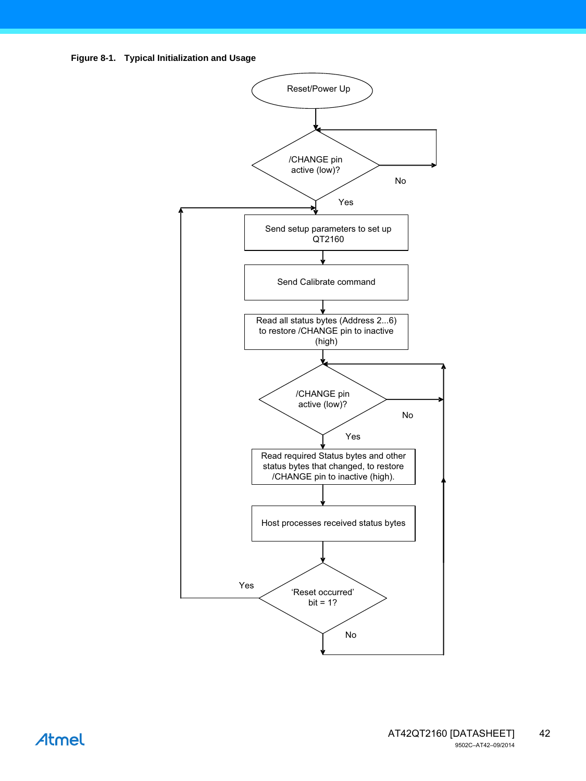



## Atmel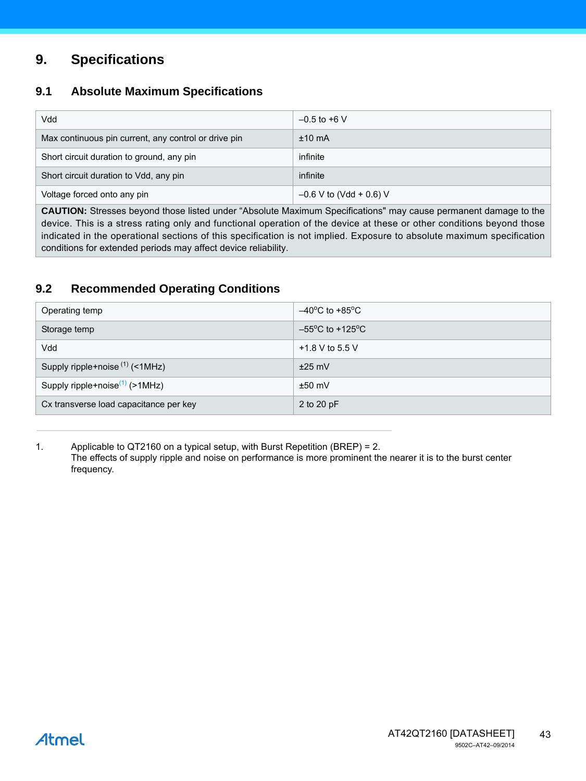## **9. Specifications**

## **9.1 Absolute Maximum Specifications**

| Vdd                                                  | $-0.5$ to +6 V            |
|------------------------------------------------------|---------------------------|
| Max continuous pin current, any control or drive pin | $±10$ mA                  |
| Short circuit duration to ground, any pin            | infinite                  |
| Short circuit duration to Vdd, any pin               | infinite                  |
| Voltage forced onto any pin                          | $-0.6$ V to (Vdd + 0.6) V |

**CAUTION:** Stresses beyond those listed under "Absolute Maximum Specifications" may cause permanent damage to the device. This is a stress rating only and functional operation of the device at these or other conditions beyond those indicated in the operational sections of this specification is not implied. Exposure to absolute maximum specification conditions for extended periods may affect device reliability.

## <span id="page-42-0"></span>**9.2 Recommended Operating Conditions**

| Operating temp                         | $-40^{\circ}$ C to +85 $^{\circ}$ C  |
|----------------------------------------|--------------------------------------|
| Storage temp                           | $-55^{\circ}$ C to +125 $^{\circ}$ C |
| Vdd                                    | +1.8 V to 5.5 V                      |
| Supply ripple+noise $(1)$ (<1MHz)      | $±25$ mV                             |
| Supply ripple+noise $(1)$ (>1MHz)      | $±50$ mV                             |
| Cx transverse load capacitance per key | 2 to 20 pF                           |

<span id="page-42-1"></span>1. Applicable to QT2160 on a typical setup, with Burst Repetition (BREP) = 2. The effects of supply ripple and noise on performance is more prominent the nearer it is to the burst center frequency.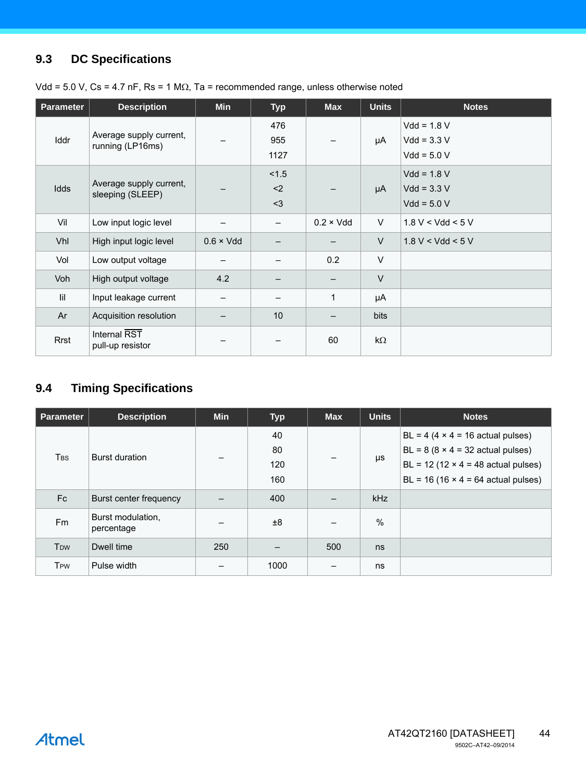## **9.3 DC Specifications**

| <b>Parameter</b> | <b>Description</b>                          | <b>Min</b>        | <b>Typ</b>               | <b>Max</b>        | <b>Units</b> | <b>Notes</b>                                    |
|------------------|---------------------------------------------|-------------------|--------------------------|-------------------|--------------|-------------------------------------------------|
| <b>Iddr</b>      | Average supply current,<br>running (LP16ms) |                   | 476<br>955<br>1127       |                   | μA           | $Vdd = 1.8 V$<br>$Vdd = 3.3 V$<br>$Vdd = 5.0 V$ |
| Idds             | Average supply current,<br>sleeping (SLEEP) |                   | < 1.5<br>$2$<br>$3$      |                   | μA           | $Vdd = 1.8 V$<br>$Vdd = 3.3 V$<br>$Vdd = 5.0 V$ |
| Vil              | Low input logic level                       |                   | $\overline{\phantom{0}}$ | $0.2 \times V$ dd | V            | 1.8 V < Vdd < 5 V                               |
| Vhl              | High input logic level                      | $0.6 \times V$ dd |                          |                   | V            | $1.8 V < V$ dd < 5 V                            |
| Vol              | Low output voltage                          |                   |                          | 0.2               | $\vee$       |                                                 |
| Voh              | High output voltage                         | 4.2               |                          |                   | $\vee$       |                                                 |
| lil              | Input leakage current                       |                   |                          | $\mathbf{1}$      | μA           |                                                 |
| Ar               | Acquisition resolution                      |                   | 10                       |                   | <b>bits</b>  |                                                 |
| Rrst             | <b>Internal RST</b><br>pull-up resistor     |                   |                          | 60                | $k\Omega$    |                                                 |

Vdd = 5.0 V, Cs = 4.7 nF, Rs = 1 M $\Omega$ , Ta = recommended range, unless otherwise noted

## <span id="page-43-0"></span>**9.4 Timing Specifications**

| <b>Parameter</b>        | <b>Description</b>              | <b>Min</b> | <b>Typ</b>             | <b>Max</b> | <b>Units</b> | <b>Notes</b>                                                                                                                                                                     |
|-------------------------|---------------------------------|------------|------------------------|------------|--------------|----------------------------------------------------------------------------------------------------------------------------------------------------------------------------------|
| <b>T</b> BS             | <b>Burst duration</b>           |            | 40<br>80<br>120<br>160 |            | μs           | $BL = 4 (4 \times 4 = 16$ actual pulses)<br>$BL = 8 (8 \times 4 = 32$ actual pulses)<br>$BL = 12 (12 \times 4 = 48$ actual pulses)<br>$BL = 16 (16 \times 4 = 64$ actual pulses) |
| Fc                      | Burst center frequency          |            | 400                    |            | <b>kHz</b>   |                                                                                                                                                                                  |
| F <sub>m</sub>          | Burst modulation,<br>percentage |            | ±8                     |            | $\%$         |                                                                                                                                                                                  |
| <b>T</b> <sub>D</sub> w | Dwell time                      | 250        |                        | 500        | ns           |                                                                                                                                                                                  |
| <b>T</b> <sub>PW</sub>  | Pulse width                     |            | 1000                   |            | ns           |                                                                                                                                                                                  |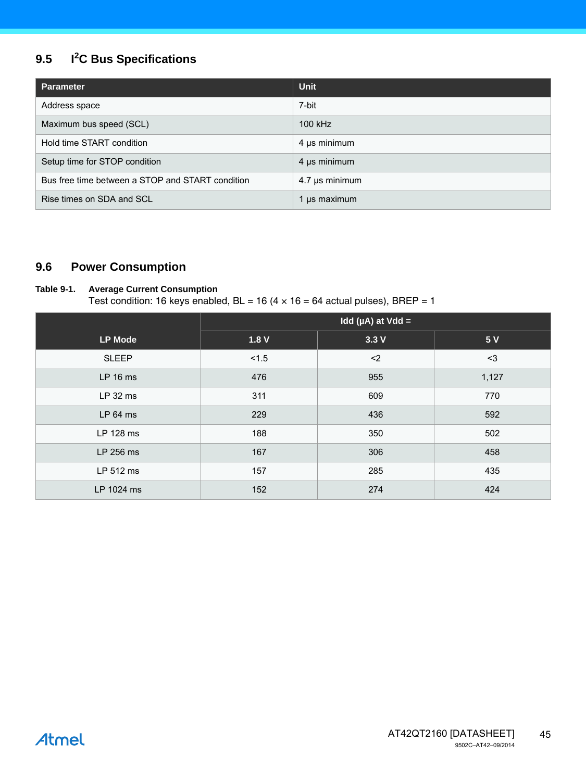#### **9.5 I<sup>2</sup> C Bus Specifications**

| <b>Parameter</b>                                 | <b>Unit</b>    |
|--------------------------------------------------|----------------|
| Address space                                    | 7-bit          |
| Maximum bus speed (SCL)                          | 100 kHz        |
| Hold time START condition                        | 4 µs minimum   |
| Setup time for STOP condition                    | 4 µs minimum   |
| Bus free time between a STOP and START condition | 4.7 µs minimum |
| Rise times on SDA and SCL                        | 1 us maximum   |

## **9.6 Power Consumption**

## **Table 9-1. Average Current Consumption**

Test condition: 16 keys enabled,  $BL = 16 (4 \times 16 = 64$  actual pulses), BREP = 1

| <b>LP Mode</b> | 1.8V  | 3.3V | 5V    |
|----------------|-------|------|-------|
| <b>SLEEP</b>   | < 1.5 | $2$  | $3$   |
| LP 16 ms       | 476   | 955  | 1,127 |
| $LP32$ ms      | 311   | 609  | 770   |
| $LP64$ ms      | 229   | 436  | 592   |
| LP 128 ms      | 188   | 350  | 502   |
| LP 256 ms      | 167   | 306  | 458   |
| LP 512 ms      | 157   | 285  | 435   |
| LP 1024 ms     | 152   | 274  | 424   |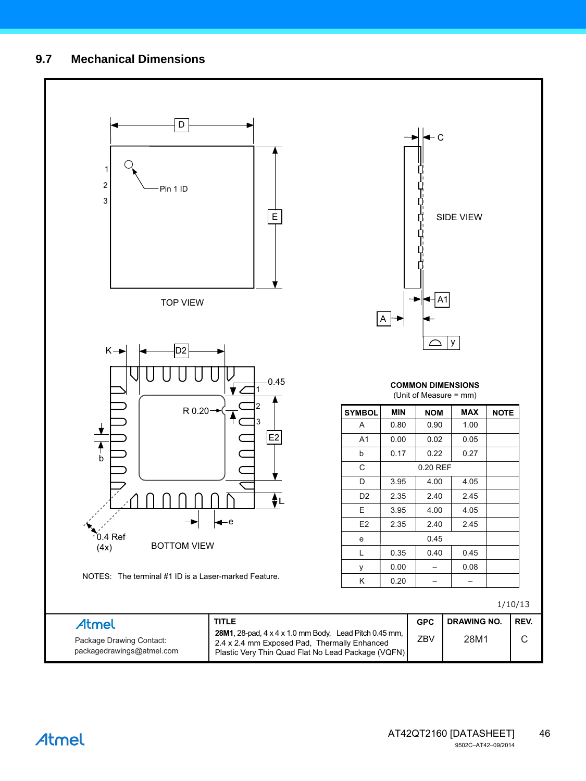## **9.7 Mechanical Dimensions**

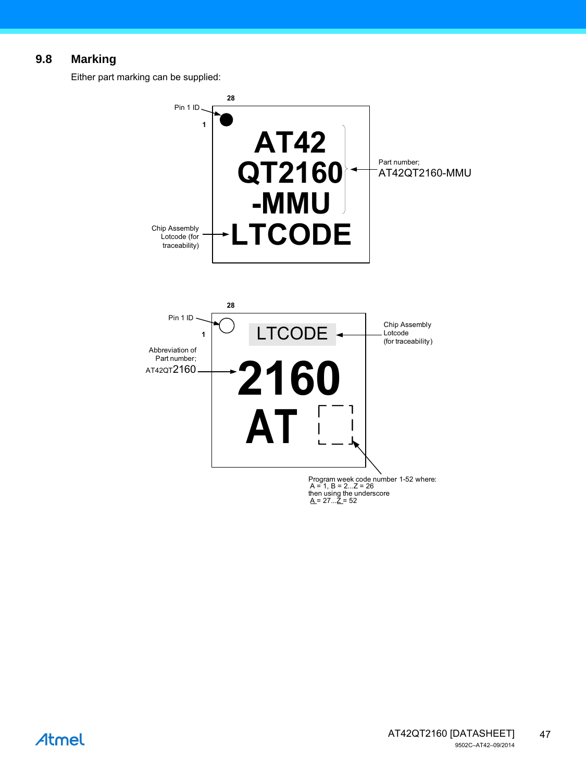## **9.8 Marking**

Either part marking can be supplied:



Atmel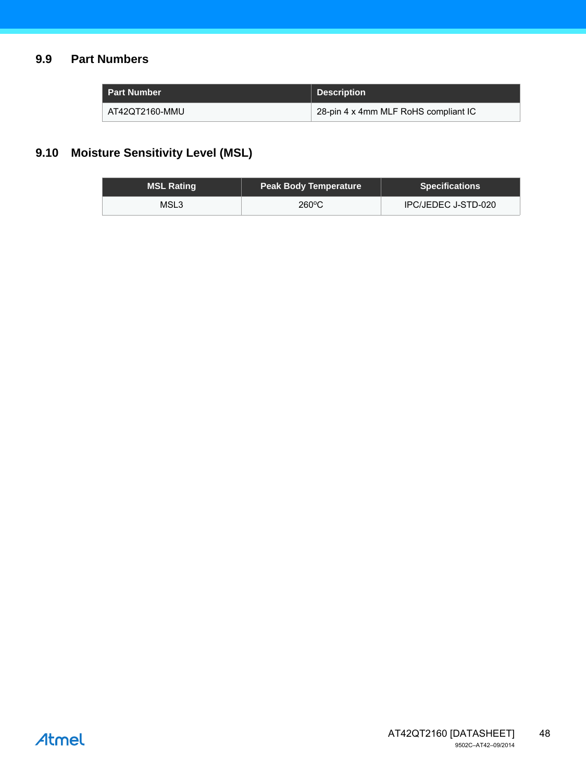## **9.9 Part Numbers**

| <b>Part Number</b> | <b>Description</b>                   |
|--------------------|--------------------------------------|
| AT42QT2160-MMU     | 28-pin 4 x 4mm MLF RoHS compliant IC |

## **9.10 Moisture Sensitivity Level (MSL)**

| <b>MSL Rating</b> | <b>Peak Body Temperature</b> | <b>Specifications</b> |
|-------------------|------------------------------|-----------------------|
| MSL3              | $260^{\circ}$ C              | IPC/JEDEC J-STD-020   |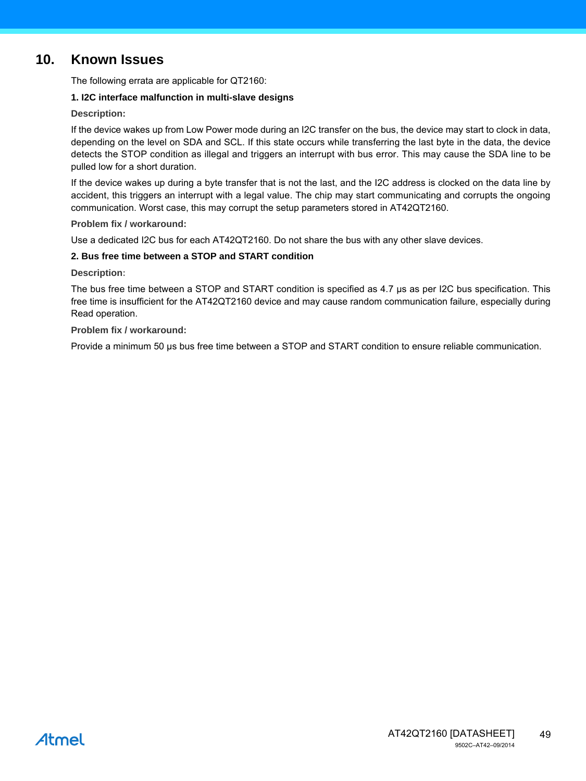## <span id="page-48-0"></span>**10. Known Issues**

The following errata are applicable for QT2160:

#### **1. I2C interface malfunction in multi-slave designs**

#### **Description:**

If the device wakes up from Low Power mode during an I2C transfer on the bus, the device may start to clock in data, depending on the level on SDA and SCL. If this state occurs while transferring the last byte in the data, the device detects the STOP condition as illegal and triggers an interrupt with bus error. This may cause the SDA line to be pulled low for a short duration.

If the device wakes up during a byte transfer that is not the last, and the I2C address is clocked on the data line by accident, this triggers an interrupt with a legal value. The chip may start communicating and corrupts the ongoing communication. Worst case, this may corrupt the setup parameters stored in AT42QT2160.

#### **Problem fix / workaround:**

Use a dedicated I2C bus for each AT42QT2160. Do not share the bus with any other slave devices.

#### **2. Bus free time between a STOP and START condition**

#### **Description:**

The bus free time between a STOP and START condition is specified as 4.7 µs as per I2C bus specification. This free time is insufficient for the AT42QT2160 device and may cause random communication failure, especially during Read operation.

#### **Problem fix / workaround:**

Provide a minimum 50 µs bus free time between a STOP and START condition to ensure reliable communication.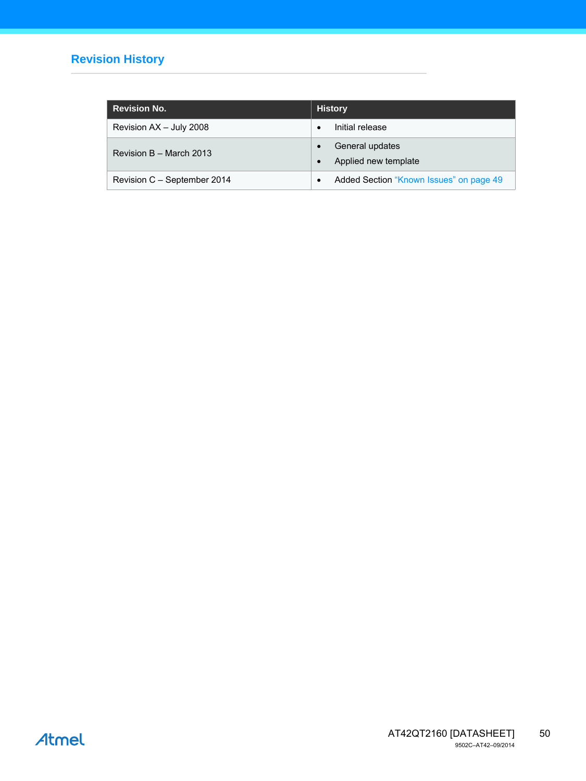## **Revision History**

| <b>Revision No.</b>         | <b>History</b>                          |
|-----------------------------|-----------------------------------------|
| Revision AX - July 2008     | Initial release                         |
| Revision B - March 2013     | General updates<br>Applied new template |
| Revision C – September 2014 | Added Section "Known Issues" on page 49 |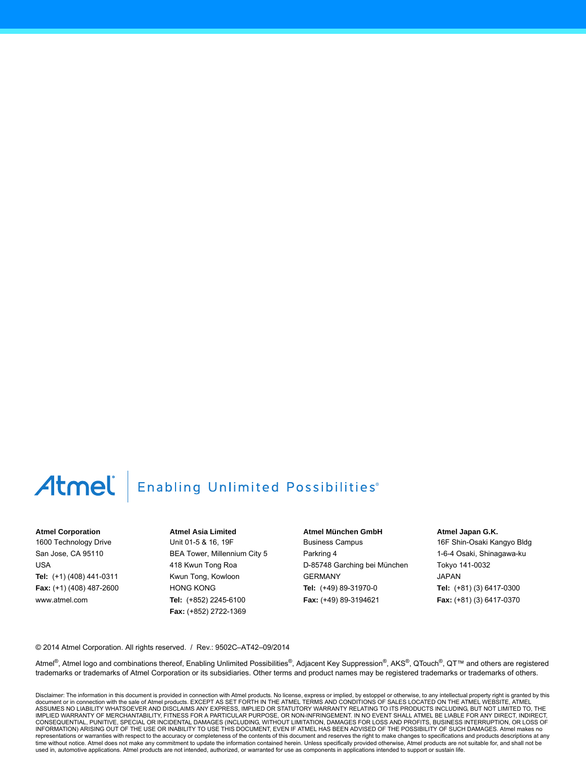## Atmel

## **Enabling Unlimited Possibilities**®

#### **Atmel Corporation**

1600 Technology Drive San Jose, CA 95110 USA **Tel:** (+1) (408) 441-0311 **Fax:** (+1) (408) 487-2600 www.atmel.com

**Atmel Asia Limited** Unit 01-5 & 16, 19F BEA Tower, Millennium City 5 418 Kwun Tong Roa Kwun Tong, Kowloon HONG KONG **Tel:** (+852) 2245-6100 **Fax:** (+852) 2722-1369

**Atmel München GmbH** Business Campus Parkring 4 D-85748 Garching bei München GERMANY **Tel:** (+49) 89-31970-0 **Fax:** (+49) 89-3194621

**Atmel Japan G.K.**

16F Shin-Osaki Kangyo Bldg 1-6-4 Osaki, Shinagawa-ku Tokyo 141-0032 JAPAN **Tel:** (+81) (3) 6417-0300 **Fax:** (+81) (3) 6417-0370

© 2014 Atmel Corporation. All rights reserved. / Rev.: 9502C–AT42–09/2014

Atmel®, Atmel logo and combinations thereof, Enabling Unlimited Possibilities®, Adjacent Key Suppression®, AKS®, QTouch®, QT™ and others are registered trademarks or trademarks of Atmel Corporation or its subsidiaries. Other terms and product names may be registered trademarks or trademarks of others.

Disclaimer: The information in this document is provided in connection with Atmel products. No license, express or implied, by estoppel or otherwise, to any intellectual property right is granted by this document or in connection with the sale of Atmel products. EXCEPT AS SET FORTH IN THE ATMEL TERMS AND CONDITIONS OF SALES LOCATED ON THE ATMEL WEBSITE, ATMEL<br>ASSUMES NO LIABILITY WHATSOEVER AND DISCLAIMS ANY EXPRESS, IMPLI IMPLIED WARRANTY OF MERCHANTABILITY, FITNESS FOR A PARTICULAR PURPOSE, OR NON-INFRINGEMENT. IN NO EVENT SHALL ATMEL BE LIABLE FOR ANY DIRECT, INDIRECT, CONSEQUENTIAL, PUNITIVE, SPECIAL OR INCIDENTAL DAMAGES (INCLUDING, WITHOUT LIMITATION, DAMAGES FOR LOSS AND PROFITS, BUSINESS INTERRUPTION, OR LOSS OF INFORMATION) ARISING OUT OF THE USE OR INABILITY TO USE THIS DOCUMENT, EVEN IF ATMEL HAS BEEN ADVISED OF THE POSSIBILITY OF SUCH DAMAGES. Atmel makes no representations or warranties with respect to the accuracy or completeness of the contents of this document and reserves the right to make changes to specifications and products descriptions at any<br>time without notice. Atm used in, automotive applications. Atmel products are not intended, authorized, or warranted for use as components in applications intended to support or sustain life.